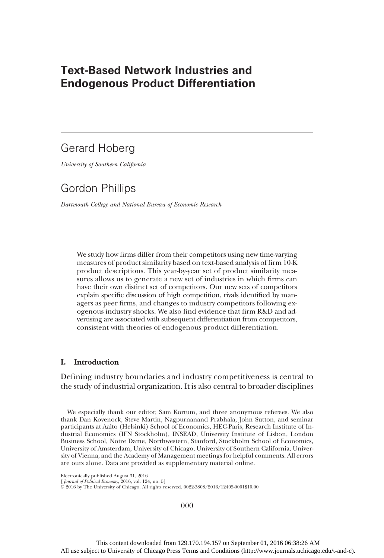# Text-Based Network Industries and Endogenous Product Differentiation

# Gerard Hoberg

University of Southern California

# Gordon Phillips

Dartmouth College and National Bureau of Economic Research

We study how firms differ from their competitors using new time-varying measures of product similarity based on text-based analysis of firm 10-K product descriptions. This year-by-year set of product similarity measures allows us to generate a new set of industries in which firms can have their own distinct set of competitors. Our new sets of competitors explain specific discussion of high competition, rivals identified by managers as peer firms, and changes to industry competitors following exogenous industry shocks. We also find evidence that firm R&D and advertising are associated with subsequent differentiation from competitors, consistent with theories of endogenous product differentiation.

# I. Introduction

Defining industry boundaries and industry competitiveness is central to the study of industrial organization. It is also central to broader disciplines

We especially thank our editor, Sam Kortum, and three anonymous referees. We also thank Dan Kovenock, Steve Martin, Nagpurnanand Prabhala, John Sutton, and seminar participants at Aalto (Helsinki) School of Economics, HEC-Paris, Research Institute of Industrial Economics (IFN Stockholm), INSEAD, University Institute of Lisbon, London Business School, Notre Dame, Northwestern, Stanford, Stockholm School of Economics, University of Amsterdam, University of Chicago, University of Southern California, University of Vienna, and the Academy of Management meetings for helpful comments. All errors are ours alone. Data are provided as supplementary material online.

Electronically published August 31, 2016

[Journal of Political Economy, 2016, vol. 124, no. 5]

© 2016 by The University of Chicago. All rights reserved. 0022-3808/2016/12405-0001\$10.00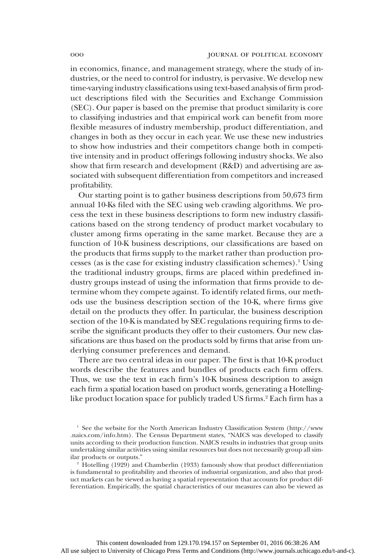in economics, finance, and management strategy, where the study of industries, or the need to control for industry, is pervasive. We develop new time-varying industry classifications using text-based analysis of firm product descriptions filed with the Securities and Exchange Commission (SEC). Our paper is based on the premise that product similarity is core to classifying industries and that empirical work can benefit from more flexible measures of industry membership, product differentiation, and changes in both as they occur in each year. We use these new industries to show how industries and their competitors change both in competitive intensity and in product offerings following industry shocks. We also show that firm research and development (R&D) and advertising are associated with subsequent differentiation from competitors and increased profitability.

Our starting point is to gather business descriptions from 50,673 firm annual 10-Ks filed with the SEC using web crawling algorithms. We process the text in these business descriptions to form new industry classifications based on the strong tendency of product market vocabulary to cluster among firms operating in the same market. Because they are a function of 10-K business descriptions, our classifications are based on the products that firms supply to the market rather than production processes (as is the case for existing industry classification schemes).<sup>1</sup> Using the traditional industry groups, firms are placed within predefined industry groups instead of using the information that firms provide to determine whom they compete against. To identify related firms, our methods use the business description section of the 10-K, where firms give detail on the products they offer. In particular, the business description section of the 10-K is mandated by SEC regulations requiring firms to describe the significant products they offer to their customers. Our new classifications are thus based on the products sold by firms that arise from underlying consumer preferences and demand.

There are two central ideas in our paper. The first is that 10-K product words describe the features and bundles of products each firm offers. Thus, we use the text in each firm's 10-K business description to assign each firm a spatial location based on product words, generating a Hotellinglike product location space for publicly traded US firms.<sup>2</sup> Each firm has a

<sup>2</sup> Hotelling (1929) and Chamberlin (1933) famously show that product differentiation is fundamental to profitability and theories of industrial organization, and also that product markets can be viewed as having a spatial representation that accounts for product differentiation. Empirically, the spatial characteristics of our measures can also be viewed as

<sup>&</sup>lt;sup>1</sup> See the website for the North American Industry Classification System (http://www .naics.com/info.htm). The Census Department states, "NAICS was developed to classify units according to their production function. NAICS results in industries that group units undertaking similar activities using similar resources but does not necessarily group all similar products or outputs."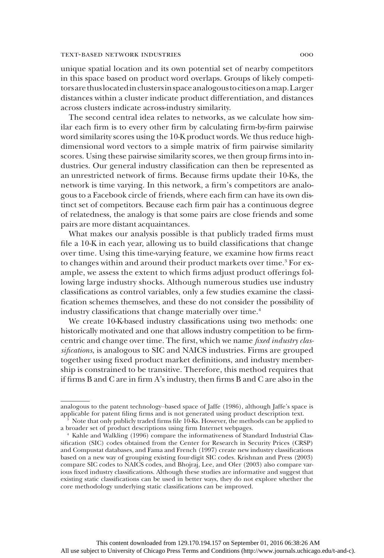unique spatial location and its own potential set of nearby competitors in this space based on product word overlaps. Groups of likely competitorsare thuslocatedinclustersin spaceanalogous tocitiesonamap.Larger distances within a cluster indicate product differentiation, and distances across clusters indicate across-industry similarity.

The second central idea relates to networks, as we calculate how similar each firm is to every other firm by calculating firm-by-firm pairwise word similarity scores using the 10-K product words. We thus reduce highdimensional word vectors to a simple matrix of firm pairwise similarity scores. Using these pairwise similarity scores, we then group firms into industries. Our general industry classification can then be represented as an unrestricted network of firms. Because firms update their 10-Ks, the network is time varying. In this network, a firm's competitors are analogous to a Facebook circle of friends, where each firm can have its own distinct set of competitors. Because each firm pair has a continuous degree of relatedness, the analogy is that some pairs are close friends and some pairs are more distant acquaintances.

What makes our analysis possible is that publicly traded firms must file a 10-K in each year, allowing us to build classifications that change over time. Using this time-varying feature, we examine how firms react to changes within and around their product markets over time.<sup>3</sup> For example, we assess the extent to which firms adjust product offerings following large industry shocks. Although numerous studies use industry classifications as control variables, only a few studies examine the classification schemes themselves, and these do not consider the possibility of industry classifications that change materially over time.<sup>4</sup>

We create 10-K-based industry classifications using two methods: one historically motivated and one that allows industry competition to be firmcentric and change over time. The first, which we name fixed industry classifications, is analogous to SIC and NAICS industries. Firms are grouped together using fixed product market definitions, and industry membership is constrained to be transitive. Therefore, this method requires that if firms B and C are in firm A's industry, then firms B and C are also in the

analogous to the patent technology–based space of Jaffe (1986), although Jaffe's space is applicable for patent filing firms and is not generated using product description text.

<sup>3</sup> Note that only publicly traded firms file 10-Ks. However, the methods can be applied to a broader set of product descriptions using firm Internet webpages.

<sup>4</sup> Kahle and Walkling (1996) compare the informativeness of Standard Industrial Classification (SIC) codes obtained from the Center for Research in Security Prices (CRSP) and Compustat databases, and Fama and French (1997) create new industry classifications based on a new way of grouping existing four-digit SIC codes. Krishnan and Press (2003) compare SIC codes to NAICS codes, and Bhojraj, Lee, and Oler (2003) also compare various fixed industry classifications. Although these studies are informative and suggest that existing static classifications can be used in better ways, they do not explore whether the core methodology underlying static classifications can be improved.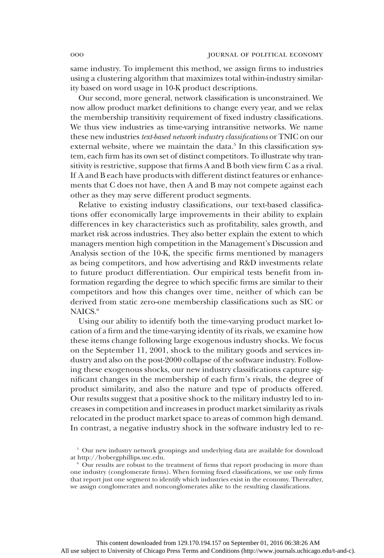same industry. To implement this method, we assign firms to industries using a clustering algorithm that maximizes total within-industry similarity based on word usage in 10-K product descriptions.

Our second, more general, network classification is unconstrained. We now allow product market definitions to change every year, and we relax the membership transitivity requirement of fixed industry classifications. We thus view industries as time-varying intransitive networks. We name these new industries text-based network industry classifications or TNIC on our external website, where we maintain the data.<sup>5</sup> In this classification system, each firm has its own set of distinct competitors. To illustrate why transitivity is restrictive, suppose that firms A and B both view firm C as a rival. If A and B each have products with different distinct features or enhancements that C does not have, then A and B may not compete against each other as they may serve different product segments.

Relative to existing industry classifications, our text-based classifications offer economically large improvements in their ability to explain differences in key characteristics such as profitability, sales growth, and market risk across industries. They also better explain the extent to which managers mention high competition in the Management's Discussion and Analysis section of the 10-K, the specific firms mentioned by managers as being competitors, and how advertising and R&D investments relate to future product differentiation. Our empirical tests benefit from information regarding the degree to which specific firms are similar to their competitors and how this changes over time, neither of which can be derived from static zero-one membership classifications such as SIC or NAICS.<sup>6</sup>

Using our ability to identify both the time-varying product market location of a firm and the time-varying identity of its rivals, we examine how these items change following large exogenous industry shocks. We focus on the September 11, 2001, shock to the military goods and services industry and also on the post-2000 collapse of the software industry. Following these exogenous shocks, our new industry classifications capture significant changes in the membership of each firm's rivals, the degree of product similarity, and also the nature and type of products offered. Our results suggest that a positive shock to the military industry led to increases in competition and increases in product market similarity as rivals relocated in the product market space to areas of common high demand. In contrast, a negative industry shock in the software industry led to re-

<sup>&</sup>lt;sup>5</sup> Our new industry network groupings and underlying data are available for download at http://hobergphillips.usc.edu.

<sup>6</sup> Our results are robust to the treatment of firms that report producing in more than one industry (conglomerate firms). When forming fixed classifications, we use only firms that report just one segment to identify which industries exist in the economy. Thereafter, we assign conglomerates and nonconglomerates alike to the resulting classifications.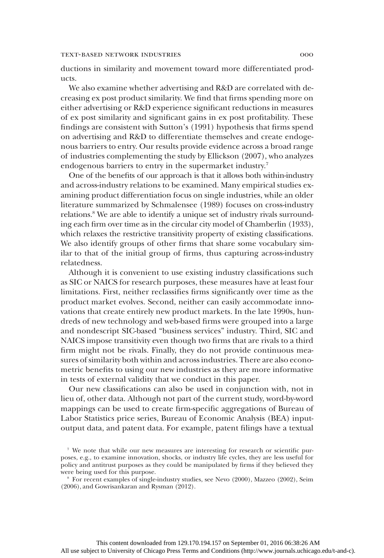ductions in similarity and movement toward more differentiated products.

We also examine whether advertising and R&D are correlated with decreasing ex post product similarity. We find that firms spending more on either advertising or R&D experience significant reductions in measures of ex post similarity and significant gains in ex post profitability. These findings are consistent with Sutton's (1991) hypothesis that firms spend on advertising and R&D to differentiate themselves and create endogenous barriers to entry. Our results provide evidence across a broad range of industries complementing the study by Ellickson (2007), who analyzes endogenous barriers to entry in the supermarket industry.<sup>7</sup>

One of the benefits of our approach is that it allows both within-industry and across-industry relations to be examined. Many empirical studies examining product differentiation focus on single industries, while an older literature summarized by Schmalensee (1989) focuses on cross-industry relations.8 We are able to identify a unique set of industry rivals surrounding each firm over time as in the circular city model of Chamberlin (1933), which relaxes the restrictive transitivity property of existing classifications. We also identify groups of other firms that share some vocabulary similar to that of the initial group of firms, thus capturing across-industry relatedness.

Although it is convenient to use existing industry classifications such as SIC or NAICS for research purposes, these measures have at least four limitations. First, neither reclassifies firms significantly over time as the product market evolves. Second, neither can easily accommodate innovations that create entirely new product markets. In the late 1990s, hundreds of new technology and web-based firms were grouped into a large and nondescript SIC-based "business services" industry. Third, SIC and NAICS impose transitivity even though two firms that are rivals to a third firm might not be rivals. Finally, they do not provide continuous measures of similarity both within and across industries. There are also econometric benefits to using our new industries as they are more informative in tests of external validity that we conduct in this paper.

Our new classifications can also be used in conjunction with, not in lieu of, other data. Although not part of the current study, word-by-word mappings can be used to create firm-specific aggregations of Bureau of Labor Statistics price series, Bureau of Economic Analysis (BEA) inputoutput data, and patent data. For example, patent filings have a textual

<sup>7</sup> We note that while our new measures are interesting for research or scientific purposes, e.g., to examine innovation, shocks, or industry life cycles, they are less useful for policy and antitrust purposes as they could be manipulated by firms if they believed they were being used for this purpose.

<sup>8</sup> For recent examples of single-industry studies, see Nevo (2000), Mazzeo (2002), Seim (2006), and Gowrisankaran and Rysman (2012).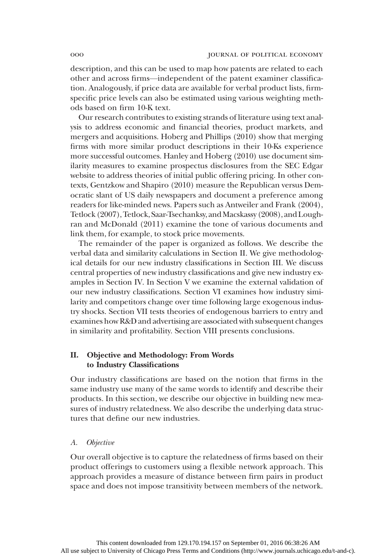description, and this can be used to map how patents are related to each other and across firms—independent of the patent examiner classification. Analogously, if price data are available for verbal product lists, firmspecific price levels can also be estimated using various weighting methods based on firm 10-K text.

Our research contributes to existing strands of literature using text analysis to address economic and financial theories, product markets, and mergers and acquisitions. Hoberg and Phillips (2010) show that merging firms with more similar product descriptions in their 10-Ks experience more successful outcomes. Hanley and Hoberg (2010) use document similarity measures to examine prospectus disclosures from the SEC Edgar website to address theories of initial public offering pricing. In other contexts, Gentzkow and Shapiro (2010) measure the Republican versus Democratic slant of US daily newspapers and document a preference among readers for like-minded news. Papers such as Antweiler and Frank (2004), Tetlock (2007), Tetlock, Saar-Tsechanksy, and Macskassy (2008), and Loughran and McDonald (2011) examine the tone of various documents and link them, for example, to stock price movements.

The remainder of the paper is organized as follows. We describe the verbal data and similarity calculations in Section II. We give methodological details for our new industry classifications in Section III. We discuss central properties of new industry classifications and give new industry examples in Section IV. In Section V we examine the external validation of our new industry classifications. Section VI examines how industry similarity and competitors change over time following large exogenous industry shocks. Section VII tests theories of endogenous barriers to entry and examines how R&D and advertising are associated with subsequent changes in similarity and profitability. Section VIII presents conclusions.

# II. Objective and Methodology: From Words to Industry Classifications

Our industry classifications are based on the notion that firms in the same industry use many of the same words to identify and describe their products. In this section, we describe our objective in building new measures of industry relatedness. We also describe the underlying data structures that define our new industries.

## A. Objective

Our overall objective is to capture the relatedness of firms based on their product offerings to customers using a flexible network approach. This approach provides a measure of distance between firm pairs in product space and does not impose transitivity between members of the network.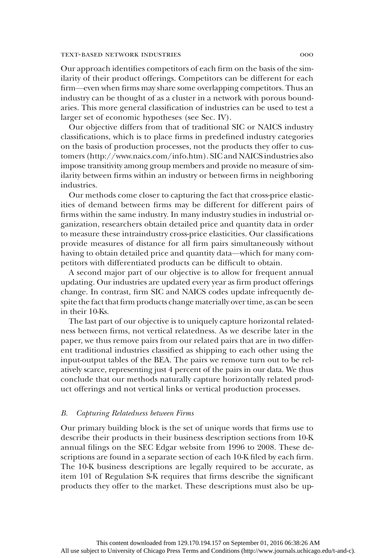Our approach identifies competitors of each firm on the basis of the similarity of their product offerings. Competitors can be different for each firm—even when firms may share some overlapping competitors. Thus an industry can be thought of as a cluster in a network with porous boundaries. This more general classification of industries can be used to test a larger set of economic hypotheses (see Sec. IV).

Our objective differs from that of traditional SIC or NAICS industry classifications, which is to place firms in predefined industry categories on the basis of production processes, not the products they offer to customers (http://www.naics.com/info.htm). SIC and NAICS industries also impose transitivity among group members and provide no measure of similarity between firms within an industry or between firms in neighboring industries.

Our methods come closer to capturing the fact that cross-price elasticities of demand between firms may be different for different pairs of firms within the same industry. In many industry studies in industrial organization, researchers obtain detailed price and quantity data in order to measure these intraindustry cross-price elasticities. Our classifications provide measures of distance for all firm pairs simultaneously without having to obtain detailed price and quantity data—which for many competitors with differentiated products can be difficult to obtain.

A second major part of our objective is to allow for frequent annual updating. Our industries are updated every year as firm product offerings change. In contrast, firm SIC and NAICS codes update infrequently despite the fact that firm products change materially over time, as can be seen in their 10-Ks.

The last part of our objective is to uniquely capture horizontal relatedness between firms, not vertical relatedness. As we describe later in the paper, we thus remove pairs from our related pairs that are in two different traditional industries classified as shipping to each other using the input-output tables of the BEA. The pairs we remove turn out to be relatively scarce, representing just 4 percent of the pairs in our data. We thus conclude that our methods naturally capture horizontally related product offerings and not vertical links or vertical production processes.

### B. Capturing Relatedness between Firms

Our primary building block is the set of unique words that firms use to describe their products in their business description sections from 10-K annual filings on the SEC Edgar website from 1996 to 2008. These descriptions are found in a separate section of each 10-K filed by each firm. The 10-K business descriptions are legally required to be accurate, as item 101 of Regulation S-K requires that firms describe the significant products they offer to the market. These descriptions must also be up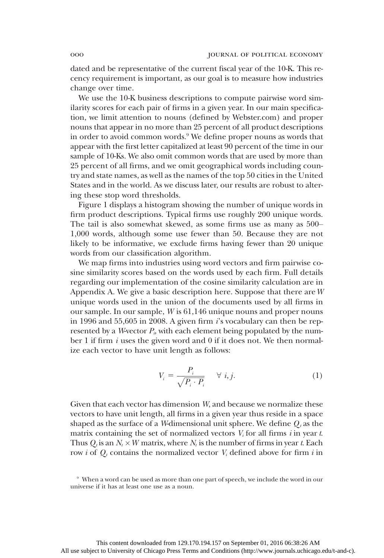dated and be representative of the current fiscal year of the 10-K. This recency requirement is important, as our goal is to measure how industries change over time.

We use the 10-K business descriptions to compute pairwise word similarity scores for each pair of firms in a given year. In our main specification, we limit attention to nouns (defined by Webster.com) and proper nouns that appear in no more than 25 percent of all product descriptions in order to avoid common words.<sup>9</sup> We define proper nouns as words that appear with the first letter capitalized at least 90 percent of the time in our sample of 10-Ks. We also omit common words that are used by more than 25 percent of all firms, and we omit geographical words including country and state names, as well as the names of the top 50 cities in the United States and in the world. As we discuss later, our results are robust to altering these stop word thresholds.

Figure 1 displays a histogram showing the number of unique words in firm product descriptions. Typical firms use roughly 200 unique words. The tail is also somewhat skewed, as some firms use as many as 500– 1,000 words, although some use fewer than 50. Because they are not likely to be informative, we exclude firms having fewer than 20 unique words from our classification algorithm.

We map firms into industries using word vectors and firm pairwise cosine similarity scores based on the words used by each firm. Full details regarding our implementation of the cosine similarity calculation are in Appendix A. We give a basic description here. Suppose that there are  $W$ unique words used in the union of the documents used by all firms in our sample. In our sample, W is 61,146 unique nouns and proper nouns in 1996 and 55,605 in 2008. A given firm i's vocabulary can then be represented by a W-vector  $P_i$ , with each element being populated by the number 1 if firm *i* uses the given word and 0 if it does not. We then normalize each vector to have unit length as follows:

$$
V_i = \frac{P_i}{\sqrt{P_i \cdot P_i}} \quad \forall \ i, j. \tag{1}
$$

Given that each vector has dimension W, and because we normalize these vectors to have unit length, all firms in a given year thus reside in a space shaped as the surface of a W-dimensional unit sphere. We define  $Q_t$  as the matrix containing the set of normalized vectors  $V_i$  for all firms i in year t. Thus  $Q_t$  is an  $N_t \times W$  matrix, where  $N_t$  is the number of firms in year t. Each row *i* of  $Q_t$  contains the normalized vector  $V_i$  defined above for firm *i* in

<sup>9</sup> When a word can be used as more than one part of speech, we include the word in our universe if it has at least one use as a noun.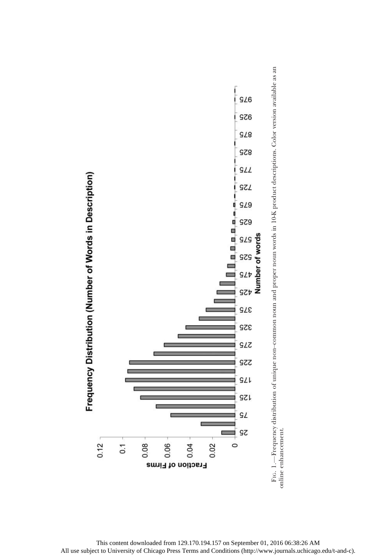

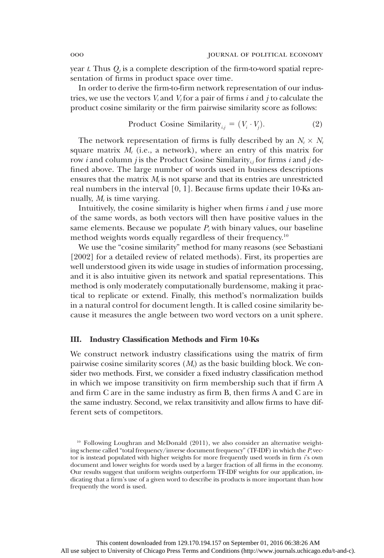year t. Thus  $Q_t$  is a complete description of the firm-to-word spatial representation of firms in product space over time.

In order to derive the firm-to-firm network representation of our industries, we use the vectors  $V_i$  and  $V_j$  for a pair of firms i and j to calculate the product cosine similarity or the firm pairwise similarity score as follows:

Product Cosine Similarity<sub>*ij*</sub> = 
$$
(V_i \cdot V_j)
$$
. (2)

The network representation of firms is fully described by an  $N_t \times N_t$ square matrix  $M_t$  (i.e., a network), where an entry of this matrix for row *i* and column *j* is the Product Cosine Similarity<sub>*ij*</sub> for firms *i* and *j* defined above. The large number of words used in business descriptions ensures that the matrix  $M_t$  is not sparse and that its entries are unrestricted real numbers in the interval [0, 1]. Because firms update their 10-Ks annually,  $M_t$  is time varying.

Intuitively, the cosine similarity is higher when firms  $i$  and  $j$  use more of the same words, as both vectors will then have positive values in the same elements. Because we populate  $P_i$  with binary values, our baseline method weights words equally regardless of their frequency.10

We use the "cosine similarity" method for many reasons (see Sebastiani [2002] for a detailed review of related methods). First, its properties are well understood given its wide usage in studies of information processing, and it is also intuitive given its network and spatial representations. This method is only moderately computationally burdensome, making it practical to replicate or extend. Finally, this method's normalization builds in a natural control for document length. It is called cosine similarity because it measures the angle between two word vectors on a unit sphere.

#### III. Industry Classification Methods and Firm 10-Ks

We construct network industry classifications using the matrix of firm pairwise cosine similarity scores  $(M<sub>t</sub>)$  as the basic building block. We consider two methods. First, we consider a fixed industry classification method in which we impose transitivity on firm membership such that if firm A and firm C are in the same industry as firm B, then firms A and C are in the same industry. Second, we relax transitivity and allow firms to have different sets of competitors.

 $10$  Following Loughran and McDonald (2011), we also consider an alternative weighting scheme called "total frequency/inverse document frequency" (TF-IDF) in which the  $P_i$  vector is instead populated with higher weights for more frequently used words in firm i's own document and lower weights for words used by a larger fraction of all firms in the economy. Our results suggest that uniform weights outperform TF-IDF weights for our application, indicating that a firm's use of a given word to describe its products is more important than how frequently the word is used.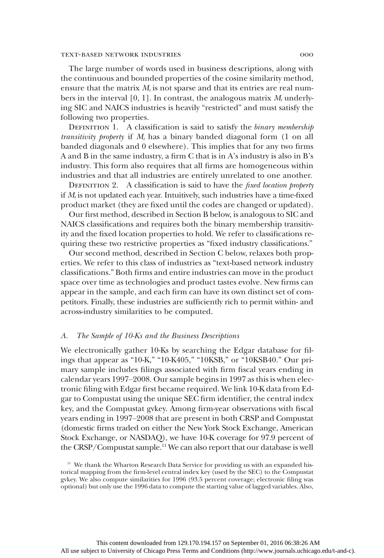The large number of words used in business descriptions, along with the continuous and bounded properties of the cosine similarity method, ensure that the matrix  $M_t$  is not sparse and that its entries are real numbers in the interval [0, 1]. In contrast, the analogous matrix  $M_t$  underlying SIC and NAICS industries is heavily "restricted" and must satisfy the following two properties.

DEFINITION 1. A classification is said to satisfy the binary membership transitivity property if  $M_t$  has a binary banded diagonal form (1 on all banded diagonals and 0 elsewhere). This implies that for any two firms A and B in the same industry, a firm C that is in A's industry is also in B's industry. This form also requires that all firms are homogeneous within industries and that all industries are entirely unrelated to one another.

DEFINITION 2. A classification is said to have the *fixed location property* if  $M_t$  is not updated each year. Intuitively, such industries have a time-fixed product market (they are fixed until the codes are changed or updated).

Our first method, described in Section B below, is analogous to SIC and NAICS classifications and requires both the binary membership transitivity and the fixed location properties to hold. We refer to classifications requiring these two restrictive properties as "fixed industry classifications."

Our second method, described in Section C below, relaxes both properties. We refer to this class of industries as "text-based network industry classifications." Both firms and entire industries can move in the product space over time as technologies and product tastes evolve. New firms can appear in the sample, and each firm can have its own distinct set of competitors. Finally, these industries are sufficiently rich to permit within- and across-industry similarities to be computed.

### A. The Sample of 10-Ks and the Business Descriptions

We electronically gather 10-Ks by searching the Edgar database for filings that appear as "10-K," "10-K405," "10KSB," or "10KSB40." Our primary sample includes filings associated with firm fiscal years ending in calendar years 1997–2008. Our sample begins in 1997 as this is when electronic filing with Edgar first became required. We link 10-K data from Edgar to Compustat using the unique SEC firm identifier, the central index key, and the Compustat gvkey. Among firm-year observations with fiscal years ending in 1997–2008 that are present in both CRSP and Compustat (domestic firms traded on either the New York Stock Exchange, American Stock Exchange, or NASDAQ), we have 10-K coverage for 97.9 percent of the CRSP/Compustat sample.<sup>11</sup> We can also report that our database is well

<sup>11</sup> We thank the Wharton Research Data Service for providing us with an expanded historical mapping from the firm-level central index key (used by the SEC) to the Compustat gvkey. We also compute similarities for 1996 (93.5 percent coverage; electronic filing was optional) but only use the 1996 data to compute the starting value of lagged variables. Also,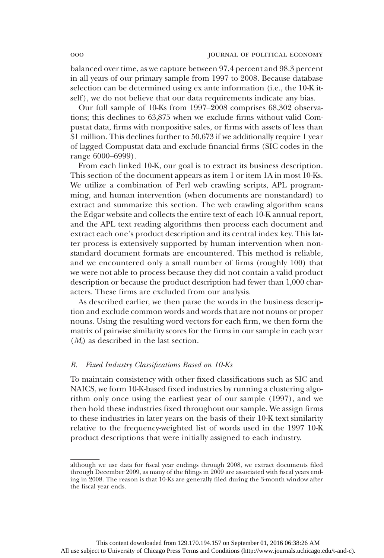balanced over time, as we capture between 97.4 percent and 98.3 percent in all years of our primary sample from 1997 to 2008. Because database selection can be determined using ex ante information (i.e., the 10-K itself), we do not believe that our data requirements indicate any bias.

Our full sample of 10-Ks from 1997–2008 comprises 68,302 observations; this declines to 63,875 when we exclude firms without valid Compustat data, firms with nonpositive sales, or firms with assets of less than \$1 million. This declines further to 50,673 if we additionally require 1 year of lagged Compustat data and exclude financial firms (SIC codes in the range 6000–6999).

From each linked 10-K, our goal is to extract its business description. This section of the document appears as item 1 or item 1A in most 10-Ks. We utilize a combination of Perl web crawling scripts, APL programming, and human intervention (when documents are nonstandard) to extract and summarize this section. The web crawling algorithm scans the Edgar website and collects the entire text of each 10-K annual report, and the APL text reading algorithms then process each document and extract each one's product description and its central index key. This latter process is extensively supported by human intervention when nonstandard document formats are encountered. This method is reliable, and we encountered only a small number of firms (roughly 100) that we were not able to process because they did not contain a valid product description or because the product description had fewer than 1,000 characters. These firms are excluded from our analysis.

As described earlier, we then parse the words in the business description and exclude common words and words that are not nouns or proper nouns. Using the resulting word vectors for each firm, we then form the matrix of pairwise similarity scores for the firms in our sample in each year  $(M_t)$  as described in the last section.

## B. Fixed Industry Classifications Based on 10-Ks

To maintain consistency with other fixed classifications such as SIC and NAICS, we form 10-K-based fixed industries by running a clustering algorithm only once using the earliest year of our sample (1997), and we then hold these industries fixed throughout our sample. We assign firms to these industries in later years on the basis of their 10-K text similarity relative to the frequency-weighted list of words used in the 1997 10-K product descriptions that were initially assigned to each industry.

although we use data for fiscal year endings through 2008, we extract documents filed through December 2009, as many of the filings in 2009 are associated with fiscal years ending in 2008. The reason is that 10-Ks are generally filed during the 3-month window after the fiscal year ends.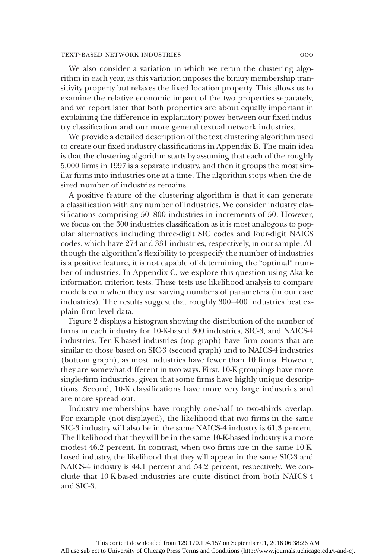We also consider a variation in which we rerun the clustering algorithm in each year, as this variation imposes the binary membership transitivity property but relaxes the fixed location property. This allows us to examine the relative economic impact of the two properties separately, and we report later that both properties are about equally important in explaining the difference in explanatory power between our fixed industry classification and our more general textual network industries.

We provide a detailed description of the text clustering algorithm used to create our fixed industry classifications in Appendix B. The main idea is that the clustering algorithm starts by assuming that each of the roughly 5,000 firms in 1997 is a separate industry, and then it groups the most similar firms into industries one at a time. The algorithm stops when the desired number of industries remains.

A positive feature of the clustering algorithm is that it can generate a classification with any number of industries. We consider industry classifications comprising 50–800 industries in increments of 50. However, we focus on the 300 industries classification as it is most analogous to popular alternatives including three-digit SIC codes and four-digit NAICS codes, which have 274 and 331 industries, respectively, in our sample. Although the algorithm's flexibility to prespecify the number of industries is a positive feature, it is not capable of determining the "optimal" number of industries. In Appendix C, we explore this question using Akaike information criterion tests. These tests use likelihood analysis to compare models even when they use varying numbers of parameters (in our case industries). The results suggest that roughly 300–400 industries best explain firm-level data.

Figure 2 displays a histogram showing the distribution of the number of firms in each industry for 10-K-based 300 industries, SIC-3, and NAICS-4 industries. Ten-K-based industries (top graph) have firm counts that are similar to those based on SIC-3 (second graph) and to NAICS-4 industries (bottom graph), as most industries have fewer than 10 firms. However, they are somewhat different in two ways. First, 10-K groupings have more single-firm industries, given that some firms have highly unique descriptions. Second, 10-K classifications have more very large industries and are more spread out.

Industry memberships have roughly one-half to two-thirds overlap. For example (not displayed), the likelihood that two firms in the same SIC-3 industry will also be in the same NAICS-4 industry is 61.3 percent. The likelihood that they will be in the same 10-K-based industry is a more modest 46.2 percent. In contrast, when two firms are in the same 10-Kbased industry, the likelihood that they will appear in the same SIC-3 and NAICS-4 industry is 44.1 percent and 54.2 percent, respectively. We conclude that 10-K-based industries are quite distinct from both NAICS-4 and SIC-3.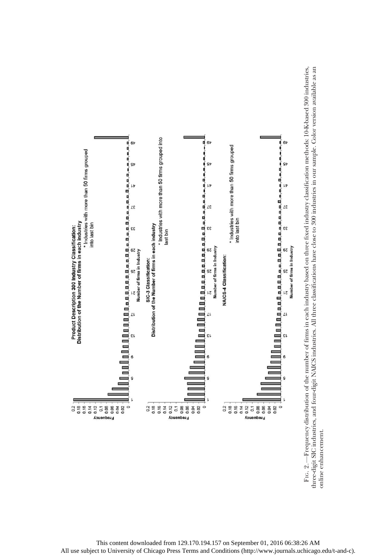

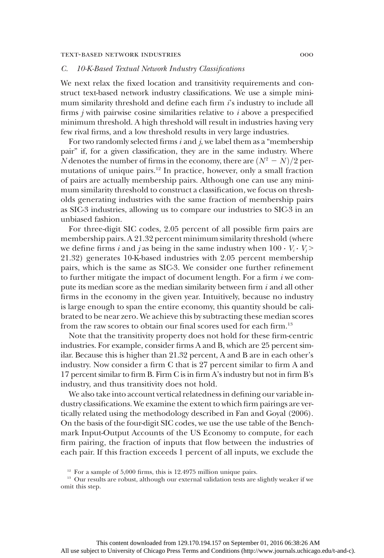# C. 10-K-Based Textual Network Industry Classifications

We next relax the fixed location and transitivity requirements and construct text-based network industry classifications. We use a simple minimum similarity threshold and define each firm i's industry to include all firms  $j$  with pairwise cosine similarities relative to  $i$  above a prespecified minimum threshold. A high threshold will result in industries having very few rival firms, and a low threshold results in very large industries.

For two randomly selected firms  $i$  and  $j$ , we label them as a "membership" pair" if, for a given classification, they are in the same industry. Where N denotes the number of firms in the economy, there are  $(N^2 - N)/2$  permutations of unique pairs.<sup>12</sup> In practice, however, only a small fraction of pairs are actually membership pairs. Although one can use any minimum similarity threshold to construct a classification, we focus on thresholds generating industries with the same fraction of membership pairs as SIC-3 industries, allowing us to compare our industries to SIC-3 in an unbiased fashion.

For three-digit SIC codes, 2.05 percent of all possible firm pairs are membership pairs. A 21.32 percent minimum similarity threshold (where we define firms *i* and *j* as being in the same industry when  $100 \cdot V_i \cdot V_j$ 21.32) generates 10-K-based industries with 2.05 percent membership pairs, which is the same as SIC-3. We consider one further refinement to further mitigate the impact of document length. For a firm  $i$  we compute its median score as the median similarity between firm  $i$  and all other firms in the economy in the given year. Intuitively, because no industry is large enough to span the entire economy, this quantity should be calibrated to be near zero. We achieve this by subtracting these median scores from the raw scores to obtain our final scores used for each firm.<sup>13</sup>

Note that the transitivity property does not hold for these firm-centric industries. For example, consider firms A and B, which are 25 percent similar. Because this is higher than 21.32 percent, A and B are in each other's industry. Now consider a firm C that is 27 percent similar to firm A and 17 percent similar to firm B. Firm C is in firm A's industry but not in firm B's industry, and thus transitivity does not hold.

We also take into account vertical relatedness in defining our variable industry classifications. We examine the extent to which firm pairings are vertically related using the methodology described in Fan and Goyal (2006). On the basis of the four-digit SIC codes, we use the use table of the Benchmark Input-Output Accounts of the US Economy to compute, for each firm pairing, the fraction of inputs that flow between the industries of each pair. If this fraction exceeds 1 percent of all inputs, we exclude the

 $12$  For a sample of 5,000 firms, this is 12.4975 million unique pairs.

<sup>&</sup>lt;sup>13</sup> Our results are robust, although our external validation tests are slightly weaker if we omit this step.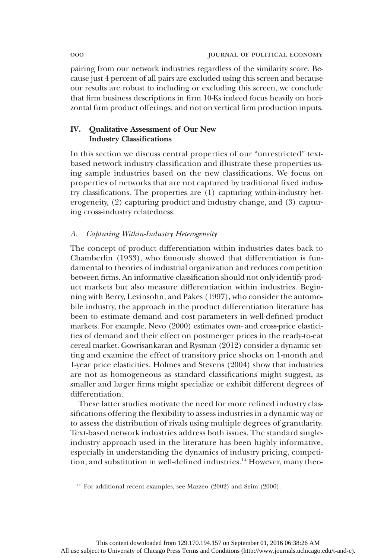pairing from our network industries regardless of the similarity score. Because just 4 percent of all pairs are excluded using this screen and because our results are robust to including or excluding this screen, we conclude that firm business descriptions in firm 10-Ks indeed focus heavily on horizontal firm product offerings, and not on vertical firm production inputs.

# IV. Qualitative Assessment of Our New Industry Classifications

In this section we discuss central properties of our "unrestricted" textbased network industry classification and illustrate these properties using sample industries based on the new classifications. We focus on properties of networks that are not captured by traditional fixed industry classifications. The properties are (1) capturing within-industry heterogeneity, (2) capturing product and industry change, and (3) capturing cross-industry relatedness.

# A. Capturing Within-Industry Heterogeneity

The concept of product differentiation within industries dates back to Chamberlin (1933), who famously showed that differentiation is fundamental to theories of industrial organization and reduces competition between firms. An informative classification should not only identify product markets but also measure differentiation within industries. Beginning with Berry, Levinsohn, and Pakes (1997), who consider the automobile industry, the approach in the product differentiation literature has been to estimate demand and cost parameters in well-defined product markets. For example, Nevo (2000) estimates own- and cross-price elasticities of demand and their effect on postmerger prices in the ready-to-eat cereal market. Gowrisankaran and Rysman (2012) consider a dynamic setting and examine the effect of transitory price shocks on 1-month and 1-year price elasticities. Holmes and Stevens (2004) show that industries are not as homogeneous as standard classifications might suggest, as smaller and larger firms might specialize or exhibit different degrees of differentiation.

These latter studies motivate the need for more refined industry classifications offering the flexibility to assess industries in a dynamic way or to assess the distribution of rivals using multiple degrees of granularity. Text-based network industries address both issues. The standard singleindustry approach used in the literature has been highly informative, especially in understanding the dynamics of industry pricing, competition, and substitution in well-defined industries.<sup>14</sup> However, many theo-

<sup>&</sup>lt;sup>14</sup> For additional recent examples, see Mazzeo (2002) and Seim (2006).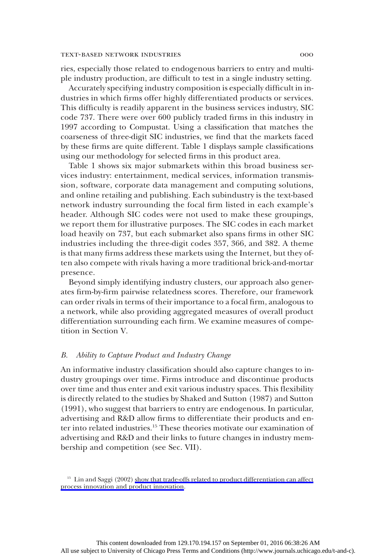ries, especially those related to endogenous barriers to entry and multiple industry production, are difficult to test in a single industry setting.

Accurately specifying industry composition is especially difficult in industries in which firms offer highly differentiated products or services. This difficulty is readily apparent in the business services industry, SIC code 737. There were over 600 publicly traded firms in this industry in 1997 according to Compustat. Using a classification that matches the coarseness of three-digit SIC industries, we find that the markets faced by these firms are quite different. Table 1 displays sample classifications using our methodology for selected firms in this product area.

Table 1 shows six major submarkets within this broad business services industry: entertainment, medical services, information transmission, software, corporate data management and computing solutions, and online retailing and publishing. Each subindustry is the text-based network industry surrounding the focal firm listed in each example's header. Although SIC codes were not used to make these groupings, we report them for illustrative purposes. The SIC codes in each market load heavily on 737, but each submarket also spans firms in other SIC industries including the three-digit codes 357, 366, and 382. A theme is that many firms address these markets using the Internet, but they often also compete with rivals having a more traditional brick-and-mortar presence.

Beyond simply identifying industry clusters, our approach also generates firm-by-firm pairwise relatedness scores. Therefore, our framework can order rivals in terms of their importance to a focal firm, analogous to a network, while also providing aggregated measures of overall product differentiation surrounding each firm. We examine measures of competition in Section V.

#### B. Ability to Capture Product and Industry Change

An informative industry classification should also capture changes to industry groupings over time. Firms introduce and discontinue products over time and thus enter and exit various industry spaces. This flexibility is directly related to the studies by Shaked and Sutton (1987) and Sutton (1991), who suggest that barriers to entry are endogenous. In particular, advertising and R&D allow firms to differentiate their products and enter into related industries.<sup>15</sup> These theories motivate our examination of advertising and R&D and their links to future changes in industry membership and competition (see Sec. VII).

<sup>&</sup>lt;sup>15</sup> Lin and Saggi (2002) [show that trade-offs related to product differentiation can affect](http://www.journals.uchicago.edu/action/showLinks?crossref=10.1111%2Fj.1540-6261.2004.00662.x) [process innovation and product innovation](http://www.journals.uchicago.edu/action/showLinks?crossref=10.1111%2Fj.1540-6261.2004.00662.x).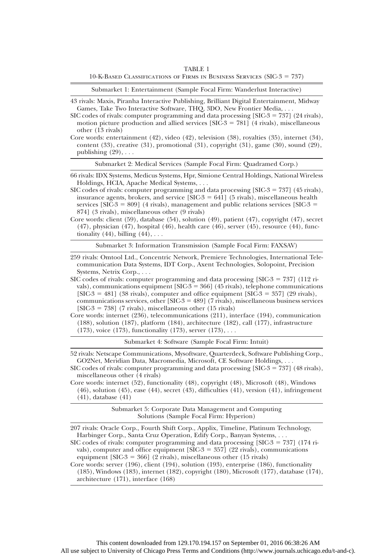TABLE 1  $10$ -K-Based Classifications of Firms in Business Services (SIC- $3 = 737$ )

Submarket 1: Entertainment (Sample Focal Firm: Wanderlust Interactive)

43 rivals: Maxis, Piranha Interactive Publishing, Brilliant Digital Entertainment, Midway Games, Take Two Interactive Software, THQ, 3DO, New Frontier Media, ...

SIC codes of rivals: computer programming and data processing  $[SIC-3 = 737]$  (24 rivals), motion picture production and allied services  $[SIC-3 = 781]$  (4 rivals), miscellaneous other (13 rivals)

Core words: entertainment (42), video (42), television (38), royalties (35), internet (34), content  $(33)$ , creative  $(31)$ , promotional  $(31)$ , copyright  $(31)$ , game  $(30)$ , sound  $(29)$ , publishing  $(29)$ , ...

Submarket 2: Medical Services (Sample Focal Firm: Quadramed Corp.)

66 rivals: IDX Systems, Medicus Systems, Hpr, Simione Central Holdings, National Wireless Holdings, HCIA, Apache Medical Systems, ...

SIC codes of rivals: computer programming and data processing  $[SIC-3 = 737]$  (45 rivals), insurance agents, brokers, and service  $[SIC-3 = 641]$  (5 rivals), miscellaneous health services  $[SIC-3 = 809]$  (4 rivals), management and public relations services  $[SIC-3 =$ 874] (3 rivals), miscellaneous other (9 rivals)

Core words: client (59), database (54), solution (49), patient (47), copyright (47), secret (47), physician (47), hospital (46), health care (46), server (45), resource (44), functionality  $(44)$ , billing  $(44)$ , ...

Submarket 3: Information Transmission (Sample Focal Firm: FAXSAV)

259 rivals: Omtool Ltd., Concentric Network, Premiere Technologies, International Telecommunication Data Systems, IDT Corp., Axent Technologies, Solopoint, Precision Systems, Netrix Corp., ...

SIC codes of rivals: computer programming and data processing  $[SIC-3 = 737]$  (112 rivals), communications equipment  $[SIC-3 = 366]$  (45 rivals), telephone communications  $[SIC-3 = 481]$  (38 rivals), computer and office equipment  $[SIC-3 = 357]$  (29 rivals), communications services, other [SIC-3 = 489] (7 rivals), miscellaneous business services  $[SIC-3 = 738]$  (7 rivals), miscellaneous other (15 rivals)

Core words: internet (236), telecommunications (211), interface (194), communication (188), solution (187), platform (184), architecture (182), call (177), infrastructure (173), voice  $(173)$ , functionality  $(173)$ , server  $(173)$ , ...

Submarket 4: Software (Sample Focal Firm: Intuit)

52 rivals: Netscape Communications, Mysoftware, Quarterdeck, Software Publishing Corp., GO2Net, Meridian Data, Macromedia, Microsoft, CE Software Holdings, ...

SIC codes of rivals: computer programming and data processing  $[SIC-3 = 737]$  (48 rivals), miscellaneous other (4 rivals)

Core words: internet (52), functionality (48), copyright (48), Microsoft (48), Windows (46), solution (45), ease (44), secret (43), difficulties (41), version (41), infringement (41), database (41)

> Submarket 5: Corporate Data Management and Computing Solutions (Sample Focal Firm: Hyperion)

207 rivals: Oracle Corp., Fourth Shift Corp., Applix, Timeline, Platinum Technology, Harbinger Corp., Santa Cruz Operation, Edify Corp., Banyan Systems, ...

SIC codes of rivals: computer programming and data processing  $[SIC-3 = 737]$  (174 rivals), computer and office equipment  $[SIC-3 = 357]$  (22 rivals), communications equipment  $[SIC-3 = 366]$  (2 rivals), miscellaneous other (15 rivals)

Core words: server (196), client (194), solution (193), enterprise (186), functionality (185), Windows (183), internet (182), copyright (180), Microsoft (177), database (174), architecture (171), interface (168)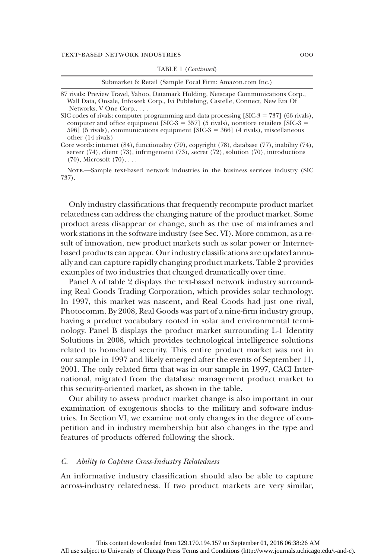|  | <b>TABLE 1</b> ( <i>Continued</i> ) |  |
|--|-------------------------------------|--|
|--|-------------------------------------|--|

| Submarket 6: Retail (Sample Focal Firm: Amazon.com Inc.)                                                                                                                                                                                                                                  |  |
|-------------------------------------------------------------------------------------------------------------------------------------------------------------------------------------------------------------------------------------------------------------------------------------------|--|
| 87 rivals: Preview Travel, Yahoo, Datamark Holding, Netscape Communications Corp.,<br>Wall Data, Onsale, Infoseek Corp., Ivi Publishing, Castelle, Connect, New Era Of<br>Networks, V One Corp.,                                                                                          |  |
| SIC codes of rivals: computer programming and data processing [SIC-3 = 737] (66 rivals),<br>computer and office equipment [SIC-3 = 357] (5 rivals), nonstore retailers [SIC-3 =<br>596] (5 rivals), communications equipment [SIC-3 = 366] (4 rivals), miscellaneous<br>other (14 rivals) |  |
| Core words: internet $(84)$ , functionality $(79)$ , copyright $(78)$ , database $(77)$ , inability $(74)$ ,<br>server $(74)$ , client $(73)$ , infringement $(73)$ , secret $(72)$ , solution $(70)$ , introductions<br>$(70)$ , Microsoft $(70)$ ,                                      |  |

NOTE.-Sample text-based network industries in the business services industry (SIC 737).

Only industry classifications that frequently recompute product market relatedness can address the changing nature of the product market. Some product areas disappear or change, such as the use of mainframes and work stations in the software industry (see Sec. VI). More common, as a result of innovation, new product markets such as solar power or Internetbased products can appear. Our industry classifications are updated annually and can capture rapidly changing product markets. Table 2 provides examples of two industries that changed dramatically over time.

Panel A of table 2 displays the text-based network industry surrounding Real Goods Trading Corporation, which provides solar technology. In 1997, this market was nascent, and Real Goods had just one rival, Photocomm. By 2008, Real Goods was part of a nine-firm industry group, having a product vocabulary rooted in solar and environmental terminology. Panel B displays the product market surrounding L-1 Identity Solutions in 2008, which provides technological intelligence solutions related to homeland security. This entire product market was not in our sample in 1997 and likely emerged after the events of September 11, 2001. The only related firm that was in our sample in 1997, CACI International, migrated from the database management product market to this security-oriented market, as shown in the table.

Our ability to assess product market change is also important in our examination of exogenous shocks to the military and software industries. In Section VI, we examine not only changes in the degree of competition and in industry membership but also changes in the type and features of products offered following the shock.

### C. Ability to Capture Cross-Industry Relatedness

An informative industry classification should also be able to capture across-industry relatedness. If two product markets are very similar,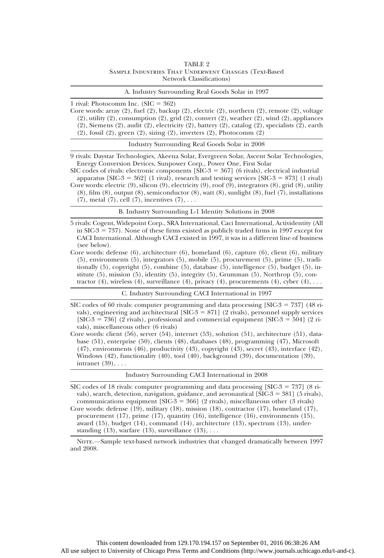#### TABLE 2 Sample Industries That Underwent Changes (Text-Based Network Classifications)

| A. Industry Surrounding Real Goods Solar in 1997 |  |
|--------------------------------------------------|--|
|--------------------------------------------------|--|

1 rival: Photocomm Inc.  $(SIC = 362)$ 

Core words: array (2), fuel (2), backup (2), electric (2), northern (2), remote (2), voltage (2), utility (2), consumption (2), grid (2), convert (2), weather (2), wind (2), appliances (2), Siemens (2), audit (2), electricity (2), battery (2), catalog (2), specialists (2), earth (2), fossil (2), green (2), sizing (2), inverters (2), Photocomm (2)

Industry Surrounding Real Goods Solar in 2008

9 rivals: Daystar Technologies, Akeena Solar, Evergreen Solar, Ascent Solar Technologies, Energy Conversion Devices, Sunpower Corp., Power One, First Solar

SIC codes of rivals: electronic components  $[SIC-3 = 367]$  (6 rivals), electrical industrial apparatus  $[SIC-3 = 362]$  (1 rival), research and testing services  $[SIC-3 = 873]$  (1 rival) Core words: electric (9), silicon (9), electricity (9), roof (9), integrators (8), grid (8), utility (8), film (8), output (8), semiconductor (8), watt (8), sunlight (8), fuel (7), installations  $(7)$ , metal  $(7)$ , cell  $(7)$ , incentives  $(7)$ , ...

B. Industry Surrounding L-1 Identity Solutions in 2008

5 rivals: Cogent, Widepoint Corp., SRA International, Caci International, Actividentity (All in SIC-3 = 737). None of these firms existed as publicly traded firms in 1997 except for CACI International. Although CACI existed in 1997, it was in a different line of business (see below).

Core words: defense (6), architecture (6), homeland (6), capture (6), client (6), military (5), environments (5), integrators (5), mobile (5), procurement (5), prime (5), traditionally (5), copyright (5), combine (5), database (5), intelligence (5), budget (5), institute (5), mission (5), identity (5), integrity (5), Grumman (5), Northrop (5), contractor (4), wireless (4), surveillance (4), privacy (4), procurements (4), cyber  $(4)$ , ...

C. Industry Surrounding CACI International in 1997

SIC codes of 60 rivals: computer programming and data processing  $[SIC-3] = 737$  (48 rivals), engineering and architectural [SIC-3  $=$  871] (2 rivals), personnel supply services  $[SIC-3 = 736]$  (2 rivals), professional and commercial equipment  $[SIC-3 = 504]$  (2 rivals), miscellaneous other (6 rivals)

Core words: client (56), server (54), internet (53), solution (51), architecture (51), database (51), enterprise (50), clients (48), databases (48), programming (47), Microsoft (47), environments (46), productivity (43), copyright (43), secret (43), interface (42), Windows (42), functionality (40), tool (40), background (39), documentation (39), intranet (39), ...

Industry Surrounding CACI International in 2008

SIC codes of 18 rivals: computer programming and data processing  $[SIC-3 = 737]$  (8 rivals), search, detection, navigation, guidance, and aeronautical  $[SIC-3 = 381]$  (5 rivals), communications equipment [SIC-3 = 366] (2 rivals), miscellaneous other (3 rivals) Core words: defense (19), military (18), mission (18), contractor (17), homeland (17),

procurement (17), prime (17), quantity (16), intelligence (16), environments (15), award (15), budget (14), command (14), architecture (13), spectrum (13), understanding  $(13)$ , warfare  $(13)$ , surveillance  $(13)$ , ...

Nore.—Sample text-based network industries that changed dramatically between 1997 and 2008.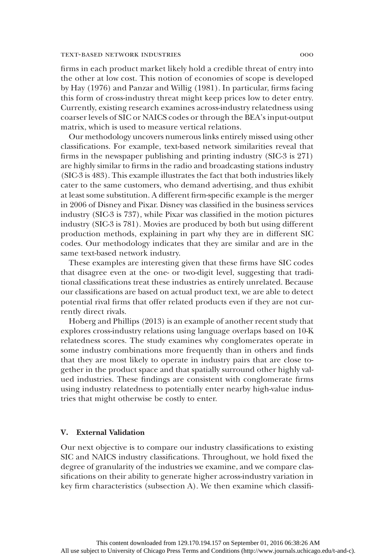firms in each product market likely hold a credible threat of entry into the other at low cost. This notion of economies of scope is developed by Hay (1976) and Panzar and Willig (1981). In particular, firms facing this form of cross-industry threat might keep prices low to deter entry. Currently, existing research examines across-industry relatedness using coarser levels of SIC or NAICS codes or through the BEA's input-output matrix, which is used to measure vertical relations.

Our methodology uncovers numerous links entirely missed using other classifications. For example, text-based network similarities reveal that firms in the newspaper publishing and printing industry (SIC-3 is 271) are highly similar to firms in the radio and broadcasting stations industry (SIC-3 is 483). This example illustrates the fact that both industries likely cater to the same customers, who demand advertising, and thus exhibit at least some substitution. A different firm-specific example is the merger in 2006 of Disney and Pixar. Disney was classified in the business services industry (SIC-3 is 737), while Pixar was classified in the motion pictures industry (SIC-3 is 781). Movies are produced by both but using different production methods, explaining in part why they are in different SIC codes. Our methodology indicates that they are similar and are in the same text-based network industry.

These examples are interesting given that these firms have SIC codes that disagree even at the one- or two-digit level, suggesting that traditional classifications treat these industries as entirely unrelated. Because our classifications are based on actual product text, we are able to detect potential rival firms that offer related products even if they are not currently direct rivals.

Hoberg and Phillips (2013) is an example of another recent study that explores cross-industry relations using language overlaps based on 10-K relatedness scores. The study examines why conglomerates operate in some industry combinations more frequently than in others and finds that they are most likely to operate in industry pairs that are close together in the product space and that spatially surround other highly valued industries. These findings are consistent with conglomerate firms using industry relatedness to potentially enter nearby high-value industries that might otherwise be costly to enter.

# V. External Validation

Our next objective is to compare our industry classifications to existing SIC and NAICS industry classifications. Throughout, we hold fixed the degree of granularity of the industries we examine, and we compare classifications on their ability to generate higher across-industry variation in key firm characteristics (subsection A). We then examine which classifi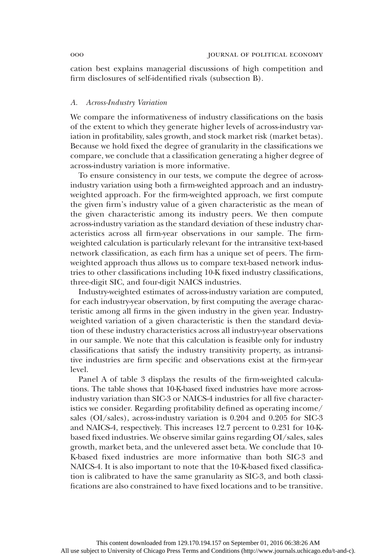cation best explains managerial discussions of high competition and firm disclosures of self-identified rivals (subsection B).

#### A. Across-Industry Variation

We compare the informativeness of industry classifications on the basis of the extent to which they generate higher levels of across-industry variation in profitability, sales growth, and stock market risk (market betas). Because we hold fixed the degree of granularity in the classifications we compare, we conclude that a classification generating a higher degree of across-industry variation is more informative.

To ensure consistency in our tests, we compute the degree of acrossindustry variation using both a firm-weighted approach and an industryweighted approach. For the firm-weighted approach, we first compute the given firm's industry value of a given characteristic as the mean of the given characteristic among its industry peers. We then compute across-industry variation as the standard deviation of these industry characteristics across all firm-year observations in our sample. The firmweighted calculation is particularly relevant for the intransitive text-based network classification, as each firm has a unique set of peers. The firmweighted approach thus allows us to compare text-based network industries to other classifications including 10-K fixed industry classifications, three-digit SIC, and four-digit NAICS industries.

Industry-weighted estimates of across-industry variation are computed, for each industry-year observation, by first computing the average characteristic among all firms in the given industry in the given year. Industryweighted variation of a given characteristic is then the standard deviation of these industry characteristics across all industry-year observations in our sample. We note that this calculation is feasible only for industry classifications that satisfy the industry transitivity property, as intransitive industries are firm specific and observations exist at the firm-year level.

Panel A of table 3 displays the results of the firm-weighted calculations. The table shows that 10-K-based fixed industries have more acrossindustry variation than SIC-3 or NAICS-4 industries for all five characteristics we consider. Regarding profitability defined as operating income/ sales (OI/sales), across-industry variation is 0.204 and 0.205 for SIC-3 and NAICS-4, respectively. This increases 12.7 percent to 0.231 for 10-Kbased fixed industries. We observe similar gains regarding OI/sales, sales growth, market beta, and the unlevered asset beta. We conclude that 10- K-based fixed industries are more informative than both SIC-3 and NAICS-4. It is also important to note that the 10-K-based fixed classification is calibrated to have the same granularity as SIC-3, and both classifications are also constrained to have fixed locations and to be transitive.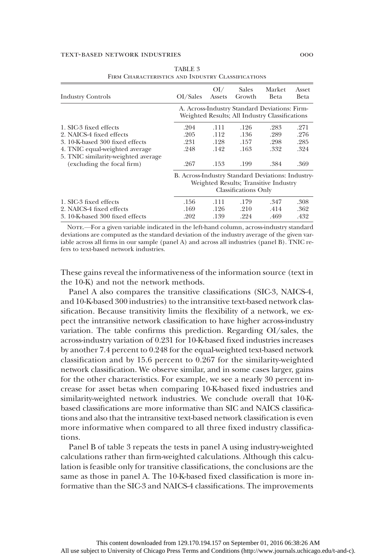| <b>Industry Controls</b>                                          | OI/Sales                                          | O <sub>I</sub><br>Assets | <b>Sales</b><br>Growth                                                                          | Market<br>Beta | Asset<br>Beta |
|-------------------------------------------------------------------|---------------------------------------------------|--------------------------|-------------------------------------------------------------------------------------------------|----------------|---------------|
|                                                                   |                                                   |                          | A. Across-Industry Standard Deviations: Firm-<br>Weighted Results; All Industry Classifications |                |               |
| 1. SIC-3 fixed effects                                            | .204                                              | .111                     | .126                                                                                            | .283           | .271          |
| 2. NAICS-4 fixed effects                                          | .205                                              | .112                     | .136                                                                                            | .289           | .276          |
| 3. 10-K-based 300 fixed effects                                   | .231                                              | .128                     | .157                                                                                            | .298           | .285          |
| 4. TNIC equal-weighted average                                    | .248                                              | .142                     | .163                                                                                            | .332           | .324          |
| 5. TNIC similarity-weighted average<br>(excluding the focal firm) | .267                                              | .153                     | .199                                                                                            | .384           | .369          |
|                                                                   | B. Across-Industry Standard Deviations: Industry- |                          | Weighted Results; Transitive Industry<br><b>Classifications Only</b>                            |                |               |
| 1. SIC-3 fixed effects                                            | .156                                              | .111                     | .179                                                                                            | .347           | .308          |
| 2. NAICS-4 fixed effects                                          | .169                                              | .126                     | .210                                                                                            | .414           | .362          |
| 3. 10-K-based 300 fixed effects                                   | .202                                              | .139                     | .224                                                                                            | .469           | .432          |

TABLE 3 Firm Characteristics and Industry Classifications

Note.—For a given variable indicated in the left-hand column, across-industry standard deviations are computed as the standard deviation of the industry average of the given variable across all firms in our sample (panel A) and across all industries (panel B). TNIC refers to text-based network industries.

These gains reveal the informativeness of the information source (text in the 10-K) and not the network methods.

Panel A also compares the transitive classifications (SIC-3, NAICS-4, and 10-K-based 300 industries) to the intransitive text-based network classification. Because transitivity limits the flexibility of a network, we expect the intransitive network classification to have higher across-industry variation. The table confirms this prediction. Regarding OI/sales, the across-industry variation of 0.231 for 10-K-based fixed industries increases by another 7.4 percent to 0.248 for the equal-weighted text-based network classification and by 15.6 percent to 0.267 for the similarity-weighted network classification. We observe similar, and in some cases larger, gains for the other characteristics. For example, we see a nearly 30 percent increase for asset betas when comparing 10-K-based fixed industries and similarity-weighted network industries. We conclude overall that 10-Kbased classifications are more informative than SIC and NAICS classifications and also that the intransitive text-based network classification is even more informative when compared to all three fixed industry classifications.

Panel B of table 3 repeats the tests in panel A using industry-weighted calculations rather than firm-weighted calculations. Although this calculation is feasible only for transitive classifications, the conclusions are the same as those in panel A. The 10-K-based fixed classification is more informative than the SIC-3 and NAICS-4 classifications. The improvements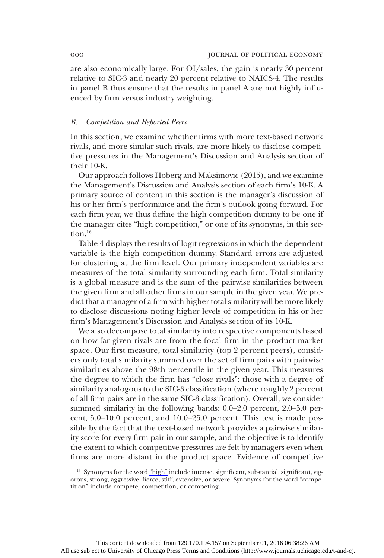are also economically large. For OI/sales, the gain is nearly 30 percent relative to SIC-3 and nearly 20 percent relative to NAICS-4. The results in panel B thus ensure that the results in panel A are not highly influenced by firm versus industry weighting.

#### B. Competition and Reported Peers

In this section, we examine whether firms with more text-based network rivals, and more similar such rivals, are more likely to disclose competitive pressures in the Management's Discussion and Analysis section of their 10-K.

Our approach follows Hoberg and Maksimovic (2015), and we examine the Management's Discussion and Analysis section of each firm's 10-K. A primary source of content in this section is the manager's discussion of his or her firm's performance and the firm's outlook going forward. For each firm year, we thus define the high competition dummy to be one if the manager cites "high competition," or one of its synonyms, in this section.<sup>16</sup>

Table 4 displays the results of logit regressions in which the dependent variable is the high competition dummy. Standard errors are adjusted for clustering at the firm level. Our primary independent variables are measures of the total similarity surrounding each firm. Total similarity is a global measure and is the sum of the pairwise similarities between the given firm and all other firms in our sample in the given year. We predict that a manager of a firm with higher total similarity will be more likely to disclose discussions noting higher levels of competition in his or her firm's Management's Discussion and Analysis section of its 10-K.

We also decompose total similarity into respective components based on how far given rivals are from the focal firm in the product market space. Our first measure, total similarity (top 2 percent peers), considers only total similarity summed over the set of firm pairs with pairwise similarities above the 98th percentile in the given year. This measures the degree to which the firm has "close rivals": those with a degree of similarity analogous to the SIC-3 classification (where roughly 2 percent of all firm pairs are in the same SIC-3 classification). Overall, we consider summed similarity in the following bands: 0.0–2.0 percent, 2.0–5.0 percent, 5.0–10.0 percent, and 10.0–25.0 percent. This test is made possible by the fact that the text-based network provides a pairwise similarity score for every firm pair in our sample, and the objective is to identify the extent to which competitive pressures are felt by managers even when firms are more distant in the product space. Evidence of competitive

<sup>&</sup>lt;sup>16</sup> Synonyms for the word "[high](http://www.journals.uchicago.edu/action/showLinks?crossref=10.2307%2F2171802)" include intense, significant, substantial, significant, vigorous, strong, aggressive, fierce, stiff, extensive, or severe. Synonyms for the word "competition" include compete, competition, or competing.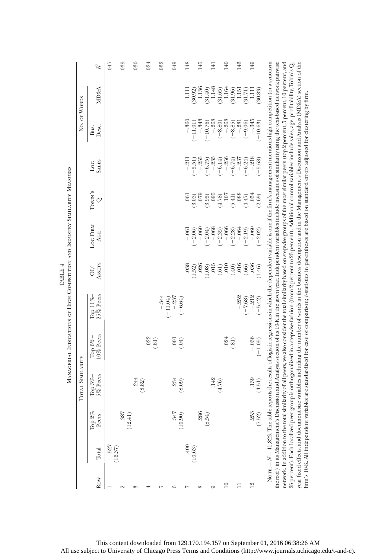|                 |                              |                       |                     |                        | MANAGERIAL INDICATIONS OF HIGH COMPETITION AND INDUSTRY SIMILARITY MEASURES                                                                                                                                                                                                                                                                                                                                                                                                                                                                                                                                                                                                                                                                                                                                                                                                                                                                                           |                                 |                               |                    |                      |                      |                  |                  |
|-----------------|------------------------------|-----------------------|---------------------|------------------------|-----------------------------------------------------------------------------------------------------------------------------------------------------------------------------------------------------------------------------------------------------------------------------------------------------------------------------------------------------------------------------------------------------------------------------------------------------------------------------------------------------------------------------------------------------------------------------------------------------------------------------------------------------------------------------------------------------------------------------------------------------------------------------------------------------------------------------------------------------------------------------------------------------------------------------------------------------------------------|---------------------------------|-------------------------------|--------------------|----------------------|----------------------|------------------|------------------|
|                 |                              |                       | TOTAL SIMILARITY    |                        |                                                                                                                                                                                                                                                                                                                                                                                                                                                                                                                                                                                                                                                                                                                                                                                                                                                                                                                                                                       |                                 |                               |                    |                      | No. of Words         |                  |                  |
| Row             | Total                        | $2\%$<br>Peers<br>Гoр | 5% Peers<br>Top 3%- | 10% Peers<br>Top 6%    | 25% Peers<br>Top $11\%$                                                                                                                                                                                                                                                                                                                                                                                                                                                                                                                                                                                                                                                                                                                                                                                                                                                                                                                                               | <b>ASSETS</b><br>$\overline{c}$ | <b>LOG FIRM</b><br><b>AGE</b> | TOBIN'S<br>$\circ$ | <b>SALES</b><br>Loc  | Desc.<br>Bus.        | <b>MD&amp;A</b>  | ີ້               |
|                 | 527<br>(16.37)               |                       |                     |                        |                                                                                                                                                                                                                                                                                                                                                                                                                                                                                                                                                                                                                                                                                                                                                                                                                                                                                                                                                                       |                                 |                               |                    |                      |                      |                  | <b>CFO</b>       |
| N               |                              | .387<br>(14)<br>(12.  |                     |                        |                                                                                                                                                                                                                                                                                                                                                                                                                                                                                                                                                                                                                                                                                                                                                                                                                                                                                                                                                                       |                                 |                               |                    |                      |                      |                  | 039              |
| ಣ               |                              |                       | .244<br>(8.82)      |                        |                                                                                                                                                                                                                                                                                                                                                                                                                                                                                                                                                                                                                                                                                                                                                                                                                                                                                                                                                                       |                                 |                               |                    |                      |                      |                  | .030             |
|                 |                              |                       |                     | .022<br>(31)           |                                                                                                                                                                                                                                                                                                                                                                                                                                                                                                                                                                                                                                                                                                                                                                                                                                                                                                                                                                       |                                 |                               |                    |                      |                      |                  | .024             |
| ìΩ              |                              |                       |                     |                        | $-.344$                                                                                                                                                                                                                                                                                                                                                                                                                                                                                                                                                                                                                                                                                                                                                                                                                                                                                                                                                               |                                 |                               |                    |                      |                      |                  | .032             |
| 6               |                              | 347<br>(10.90)        | .234<br>(8.09)      | $\overline{0}$<br>(94) | $-.237$<br>$-11.04$<br>$-6.64$                                                                                                                                                                                                                                                                                                                                                                                                                                                                                                                                                                                                                                                                                                                                                                                                                                                                                                                                        |                                 |                               |                    |                      |                      |                  | 049              |
| 1               | .400                         |                       |                     |                        |                                                                                                                                                                                                                                                                                                                                                                                                                                                                                                                                                                                                                                                                                                                                                                                                                                                                                                                                                                       | 038                             | $-.061$                       | .061               | $-21$                | $-.360$              | $\Xi$            | .148             |
|                 | (10.63)                      |                       |                     |                        |                                                                                                                                                                                                                                                                                                                                                                                                                                                                                                                                                                                                                                                                                                                                                                                                                                                                                                                                                                       | (1.52)                          | $-2.06$                       | (3.03)             | $-5.51$              | $(-11.01)$           | 30.92)           |                  |
| $\infty$        |                              | 286                   |                     |                        |                                                                                                                                                                                                                                                                                                                                                                                                                                                                                                                                                                                                                                                                                                                                                                                                                                                                                                                                                                       | .026                            | $-060$                        | 079                | $-.255$              | $-.343$              | 1.136            | 145              |
| G               |                              | .54)<br>$\otimes$     |                     |                        |                                                                                                                                                                                                                                                                                                                                                                                                                                                                                                                                                                                                                                                                                                                                                                                                                                                                                                                                                                       | .015<br>1.08                    | $-.068$<br>$(-2.04)$          | 0.05<br>(3.95)     | $-.233$<br>$(-6.75)$ | $-.268$<br>$-10.76$  | 1.148<br>(31.40) | $\overline{141}$ |
|                 |                              |                       | $.142$<br>(4.76)    |                        |                                                                                                                                                                                                                                                                                                                                                                                                                                                                                                                                                                                                                                                                                                                                                                                                                                                                                                                                                                       | (.61)                           | $(-2.35)$                     | (4.78)             | $-6.14)$             | $(-8.80)$            | (31.65)          |                  |
| $\overline{10}$ |                              |                       |                     | .024                   |                                                                                                                                                                                                                                                                                                                                                                                                                                                                                                                                                                                                                                                                                                                                                                                                                                                                                                                                                                       | 010                             | $-.066$                       | .107               | $-.256$              | $-.268$              | 1.164            | 140              |
|                 |                              |                       |                     | (.81)                  |                                                                                                                                                                                                                                                                                                                                                                                                                                                                                                                                                                                                                                                                                                                                                                                                                                                                                                                                                                       | (.40)                           | $(-2.28)$                     | (5.41)             | $(-6.74)$            | $(-8.85)$            | (31.96)          |                  |
| Ξ               |                              |                       |                     |                        | $-.252$<br>$(-7.68)$                                                                                                                                                                                                                                                                                                                                                                                                                                                                                                                                                                                                                                                                                                                                                                                                                                                                                                                                                  | .016<br>(.66)                   | $-.064$<br>$(-2.19)$          | .088<br>(4.47)     | $-.237$<br>$(-6.24)$ | $-.281$<br>$(-9.06)$ | 1.151<br>(31.71) | .143             |
| $\frac{1}{2}$   |                              | 253                   | .139                | $-.036$                | $-.212$                                                                                                                                                                                                                                                                                                                                                                                                                                                                                                                                                                                                                                                                                                                                                                                                                                                                                                                                                               | 036                             | $-.060$                       | .054               | $-.218$              | $-.345$              | 1.111            | 149              |
|                 |                              | (7.52)                | (4.51)              | $(-1.05)$              | $(-5.42)$                                                                                                                                                                                                                                                                                                                                                                                                                                                                                                                                                                                                                                                                                                                                                                                                                                                                                                                                                             | (1.46)                          | $-2.02$                       | (2.69)             | $-5.68$              | $-10.63$             | 30.83            |                  |
|                 |                              |                       |                     |                        | $25$ percent). Each localized peer group is orthogonalized in a stepwise fashion (from 2 percent) correct). Additional control variables include sales, age, profitability, Tobin's $\mathrm{Q},$<br>year fixed effects, and document size variables including the number of words in the business description and in the Management's Discussion and Analysis (MD&A) section of the<br>thereof) in its Management's Discussion and Analysis section of its 10-K in the given year. Independent variables include measures of similarity using the text-based network pairwise<br>network. In addition to the total similarity of all peers, we also consider the total similarity based on stepwise groups of the most similar peers (top 2 percent, 5 percent, 10 percent, and<br>Norr. $-N=41,823$ . The table reports the results of logistic regressions in which the dependent variable is one if the firm's management mentions high competition (or a synonym |                                 |                               |                    |                      |                      |                  |                  |
|                 | firm's 10-K. All independent |                       |                     |                        | variables are standardized for ease of comparison; t-statistics in parentheses are based on standard errors adjusted for clustering by firm                                                                                                                                                                                                                                                                                                                                                                                                                                                                                                                                                                                                                                                                                                                                                                                                                           |                                 |                               |                    |                      |                      |                  |                  |

We Coast anyone Me accounts un Ivn TABLE  $4$ TABLE 4 ć or Hrom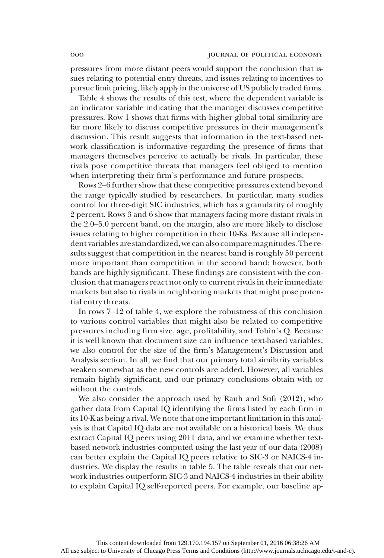pressures from more distant peers would support the conclusion that issues relating to potential entry threats, and issues relating to incentives to pursue limit pricing, likely apply in the universe of US publicly traded firms.

Table 4 shows the results of this test, where the dependent variable is an indicator variable indicating that the manager discusses competitive pressures. Row 1 shows that firms with higher global total similarity are far more likely to discuss competitive pressures in their management's discussion. This result suggests that information in the text-based network classification is informative regarding the presence of firms that managers themselves perceive to actually be rivals. In particular, these rivals pose competitive threats that managers feel obliged to mention when interpreting their firm's performance and future prospects.

Rows 2–6 further show that these competitive pressures extend beyond the range typically studied by researchers. In particular, many studies control for three-digit SIC industries, which has a granularity of roughly 2 percent. Rows 3 and 6 show that managers facing more distant rivals in the 2.0–5.0 percent band, on the margin, also are more likely to disclose issues relating to higher competition in their 10-Ks. Because all independent variables are standardized,we can also comparemagnitudes.The results suggest that competition in the nearest band is roughly 50 percent more important than competition in the second band; however, both bands are highly significant. These findings are consistent with the conclusion that managers react not only to current rivals in their immediate markets but also to rivals in neighboring markets that might pose potential entry threats.

In rows 7–12 of table 4, we explore the robustness of this conclusion to various control variables that might also be related to competitive pressures including firm size, age, profitability, and Tobin's Q. Because it is well known that document size can influence text-based variables, we also control for the size of the firm's Management's Discussion and Analysis section. In all, we find that our primary total similarity variables weaken somewhat as the new controls are added. However, all variables remain highly significant, and our primary conclusions obtain with or without the controls.

We also consider the approach used by Rauh and Sufi (2012), who gather data from Capital IQ identifying the firms listed by each firm in its 10-K as being a rival. We note that one important limitation in this analysis is that Capital IQ data are not available on a historical basis. We thus extract Capital IQ peers using 2011 data, and we examine whether textbased network industries computed using the last year of our data (2008) can better explain the Capital IQ peers relative to SIC-3 or NAICS-4 industries. We display the results in table 5. The table reveals that our network industries outperform SIC-3 and NAICS-4 industries in their ability to explain Capital IQ self-reported peers. For example, our baseline ap-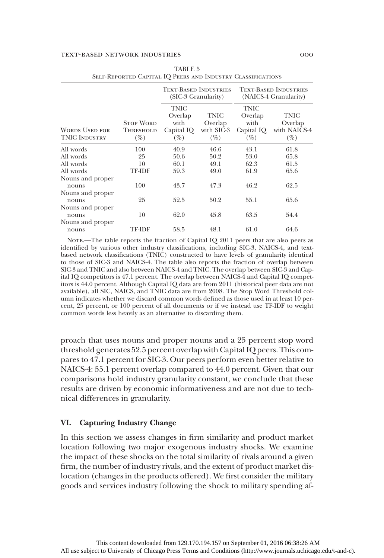|                                                                               |                                         | <b>TEXT-BASED INDUSTRIES</b><br>(SIC-3 Granularity)    |                                         |                                                 | <b>TEXT-BASED INDUSTRIES</b><br>(NAICS-4 Granularity) |
|-------------------------------------------------------------------------------|-----------------------------------------|--------------------------------------------------------|-----------------------------------------|-------------------------------------------------|-------------------------------------------------------|
| <b>WORDS USED FOR</b><br><b>TNIC INDUSTRY</b>                                 | <b>STOP WORD</b><br>Threshold<br>$(\%)$ | <b>TNIC</b><br>Overlap<br>with<br>Capital IQ<br>$(\%)$ | TNIC<br>Overlap<br>with SIC-3<br>$(\%)$ | TNIC<br>Overlap<br>with<br>Capital IQ<br>$(\%)$ | TNIC<br>Overlap<br>with NAICS-4<br>$(\%)$             |
| All words<br>All words<br>All words<br>All words<br>Nouns and proper<br>nouns | 100<br>25<br>10<br><b>TF-IDF</b><br>100 | 40.9<br>50.6<br>60.1<br>59.3<br>43.7                   | 46.6<br>50.2<br>49.1<br>49.0<br>47.3    | 43.1<br>53.0<br>62.3<br>61.9<br>46.2            | 61.8<br>65.8<br>61.5<br>65.6<br>62.5                  |
| Nouns and proper<br>nouns<br>Nouns and proper<br>nouns<br>Nouns and proper    | 25<br>10                                | 52.5<br>62.0                                           | 50.2<br>45.8                            | 55.1<br>63.5                                    | 65.6<br>54.4                                          |
| nouns                                                                         | TF-IDF                                  | 58.5                                                   | 48.1                                    | 61.0                                            | 64.6                                                  |

| TABLE 5                                                     |  |
|-------------------------------------------------------------|--|
| SELF-REPORTED CAPITAL IQ PEERS AND INDUSTRY CLASSIFICATIONS |  |

NOTE.—The table reports the fraction of Capital IQ 2011 peers that are also peers as identified by various other industry classifications, including SIC-3, NAICS-4, and textbased network classifications (TNIC) constructed to have levels of granularity identical to those of SIC-3 and NAICS-4. The table also reports the fraction of overlap between SIC-3 and TNIC and also between NAICS-4 and TNIC. The overlap between SIC-3 and Capital IQ competitors is 47.1 percent. The overlap between NAICS-4 and Capital IQ competitors is 44.0 percent. Although Capital IQ data are from 2011 (historical peer data are not available), all SIC, NAICS, and TNIC data are from 2008. The Stop Word Threshold column indicates whether we discard common words defined as those used in at least 10 percent, 25 percent, or 100 percent of all documents or if we instead use TF-IDF to weight common words less heavily as an alternative to discarding them.

proach that uses nouns and proper nouns and a 25 percent stop word threshold generates 52.5 percent overlap with Capital IQ peers. This compares to 47.1 percent for SIC-3. Our peers perform even better relative to NAICS-4: 55.1 percent overlap compared to 44.0 percent. Given that our comparisons hold industry granularity constant, we conclude that these results are driven by economic informativeness and are not due to technical differences in granularity.

## VI. Capturing Industry Change

In this section we assess changes in firm similarity and product market location following two major exogenous industry shocks. We examine the impact of these shocks on the total similarity of rivals around a given firm, the number of industry rivals, and the extent of product market dislocation (changes in the products offered). We first consider the military goods and services industry following the shock to military spending af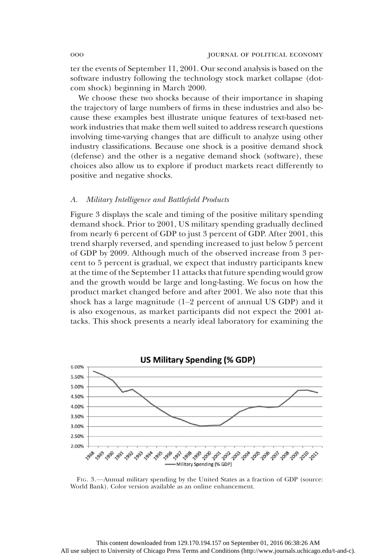ter the events of September 11, 2001. Our second analysis is based on the software industry following the technology stock market collapse (dotcom shock) beginning in March 2000.

We choose these two shocks because of their importance in shaping the trajectory of large numbers of firms in these industries and also because these examples best illustrate unique features of text-based network industries that make them well suited to address research questions involving time-varying changes that are difficult to analyze using other industry classifications. Because one shock is a positive demand shock (defense) and the other is a negative demand shock (software), these choices also allow us to explore if product markets react differently to positive and negative shocks.

#### A. Military Intelligence and Battlefield Products

Figure 3 displays the scale and timing of the positive military spending demand shock. Prior to 2001, US military spending gradually declined from nearly 6 percent of GDP to just 3 percent of GDP. After 2001, this trend sharply reversed, and spending increased to just below 5 percent of GDP by 2009. Although much of the observed increase from 3 percent to 5 percent is gradual, we expect that industry participants knew at the time of the September 11 attacks that future spending would grow and the growth would be large and long-lasting. We focus on how the product market changed before and after 2001. We also note that this shock has a large magnitude (1–2 percent of annual US GDP) and it is also exogenous, as market participants did not expect the 2001 attacks. This shock presents a nearly ideal laboratory for examining the



FIG. 3.—Annual military spending by the United States as a fraction of GDP (source: World Bank). Color version available as an online enhancement.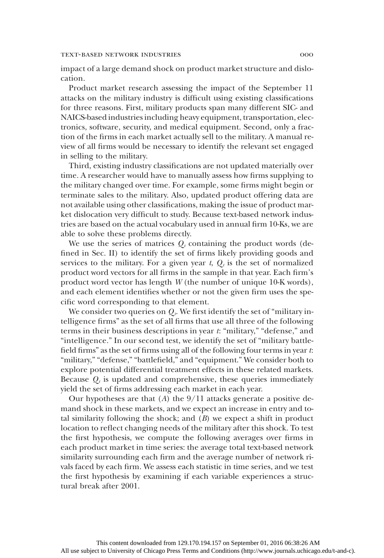impact of a large demand shock on product market structure and dislocation.

Product market research assessing the impact of the September 11 attacks on the military industry is difficult using existing classifications for three reasons. First, military products span many different SIC- and NAICS-based industries including heavy equipment, transportation, electronics, software, security, and medical equipment. Second, only a fraction of the firms in each market actually sell to the military. A manual review of all firms would be necessary to identify the relevant set engaged in selling to the military.

Third, existing industry classifications are not updated materially over time. A researcher would have to manually assess how firms supplying to the military changed over time. For example, some firms might begin or terminate sales to the military. Also, updated product offering data are not available using other classifications, making the issue of product market dislocation very difficult to study. Because text-based network industries are based on the actual vocabulary used in annual firm 10-Ks, we are able to solve these problems directly.

We use the series of matrices  $Q_t$  containing the product words (defined in Sec. II) to identify the set of firms likely providing goods and services to the military. For a given year t,  $Q_t$  is the set of normalized product word vectors for all firms in the sample in that year. Each firm's product word vector has length W (the number of unique 10-K words), and each element identifies whether or not the given firm uses the specific word corresponding to that element.

We consider two queries on  $Q_t$ . We first identify the set of "military intelligence firms" as the set of all firms that use all three of the following terms in their business descriptions in year t: "military," "defense," and "intelligence." In our second test, we identify the set of "military battlefield firms" as the set of firms using all of the following four terms in year t: "military," "defense," "battlefield," and "equipment." We consider both to explore potential differential treatment effects in these related markets. Because  $Q_t$  is updated and comprehensive, these queries immediately yield the set of firms addressing each market in each year.

Our hypotheses are that  $(A)$  the  $9/11$  attacks generate a positive demand shock in these markets, and we expect an increase in entry and total similarity following the shock; and  $(B)$  we expect a shift in product location to reflect changing needs of the military after this shock. To test the first hypothesis, we compute the following averages over firms in each product market in time series: the average total text-based network similarity surrounding each firm and the average number of network rivals faced by each firm. We assess each statistic in time series, and we test the first hypothesis by examining if each variable experiences a structural break after 2001.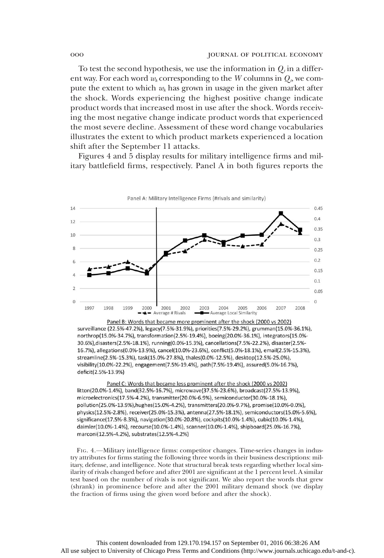To test the second hypothesis, we use the information in  $Q_t$  in a different way. For each word  $w_k$  corresponding to the W columns in  $Q_k$ , we compute the extent to which  $w_k$  has grown in usage in the given market after the shock. Words experiencing the highest positive change indicate product words that increased most in use after the shock. Words receiving the most negative change indicate product words that experienced the most severe decline. Assessment of these word change vocabularies illustrates the extent to which product markets experienced a location shift after the September 11 attacks.

Figures 4 and 5 display results for military intelligence firms and military battlefield firms, respectively. Panel A in both figures reports the



Panel B: Words that became more prominent after the shock (2000 vs 2002) surveillance (22.5%-47.2%), legacy(7.5%-31.9%), priorities(7.5%-29.2%), grumman(15.0%-36.1%), northrop(15.0%-34.7%), transformation(2.5%-19.4%), boeing(20.0%-36.1%), integrators(15.0%-30.6%), disasters(2.5%-18.1%), running(0.0%-15.3%), cancellations(7.5%-22.2%), disaster(2.5%-16.7%), allegations(0.0%-13.9%), cancel(10.0%-23.6%), conflict(5.0%-18.1%), email(2.5%-15.3%), streamline(2.5%-15.3%), task(15.0%-27.8%), thales(0.0%-12.5%), desktop(12.5%-25.0%), visibility(10.0%-22.2%), engagement(7.5%-19.4%), path(7.5%-19.4%), assured(5.0%-16.7%), deficit(2.5%-13.9%)

Panel C: Words that became less prominent after the shock (2000 vs 2002) litton(20.0%-1.4%), band(32.5%-16.7%), microwave(37.5%-23.6%), broadcast(27.5%-13.9%), microelectronics(17.5%-4.2%), transmitter(20.0%-6.9%), semiconductor(30.0%-18.1%), pollution(25.0%-13.9%),hughes(15.0%-4.2%), transmitters(20.0%-9.7%), promise(10.0%-0.0%), physics(12.5%-2.8%), receiver(25.0%-15.3%), antenna(27.5%-18.1%), semiconductors(15.0%-5.6%), significance(17.5%-8.3%), navigation(30.0%-20.8%), cockpits(10.0%-1.4%), cubic(10.0%-1.4%), daimler(10.0%-1.4%), recourse(10.0%-1.4%), scanner(10.0%-1.4%), shipboard(25.0%-16.7%), marconi(12.5%-4.2%), substrates(12.5%-4.2%)

FIG. 4.—Military intelligence firms: competitor changes. Time-series changes in industry attributes for firms stating the following three words in their business descriptions: military, defense, and intelligence. Note that structural break tests regarding whether local similarity of rivals changed before and after 2001 are significant at the 1 percent level. A similar test based on the number of rivals is not significant. We also report the words that grew (shrank) in prominence before and after the 2001 military demand shock (we display the fraction of firms using the given word before and after the shock).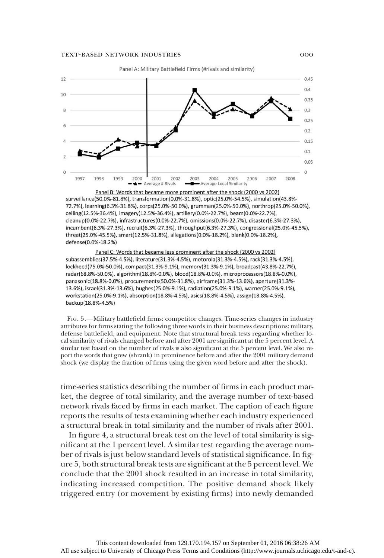

surveillance(50.0%-81.8%), transformation(0.0%-31.8%), optic(25.0%-54.5%), simulation(43.8%-72.7%), learning(6.3%-31.8%), corps(25.0%-50.0%), grumman(25.0%-50.0%), northrop(25.0%-50.0%), ceiling(12.5%-36.4%), imagery(12.5%-36.4%), artillery(0.0%-22.7%), beam(0.0%-22.7%), cleanup(0.0%-22.7%), infrastructures(0.0%-22.7%), omissions(0.0%-22.7%), disaster(6.3%-27.3%), incumbent(6.3%-27.3%), recruit(6.3%-27.3%), throughput(6.3%-27.3%), congressional(25.0%-45.5%), threat(25.0%-45.5%), smart(12.5%-31.8%), allegations(0.0%-18.2%), blank(0.0%-18.2%), defense(0.0%-18.2%)

Panel C: Words that became less prominent after the shock (2000 vs 2002) subassemblies(37.5%-4.5%), literature(31.3%-4.5%), motorola(31.3%-4.5%), rack(31.3%-4.5%), lockheed(75.0%-50.0%), compact(31.3%-9.1%), memory(31.3%-9.1%), broadcast(43.8%-22.7%), radar(68.8%-50.0%), algorithm(18.8%-0.0%), blood(18.8%-0.0%), microprocessors(18.8%-0.0%), panasonic(18.8%-0.0%), procurements(50.0%-31.8%), airframe(31.3%-13.6%), aperture(31.3%-13.6%), israel(31.3%-13.6%), hughes(25.0%-9.1%), radiation(25.0%-9.1%), warner(25.0%-9.1%), workstation(25.0%-9.1%), absorption(18.8%-4.5%), asics(18.8%-4.5%), assign(18.8%-4.5%), backup(18.8%-4.5%)

FIG. 5.—Military battlefield firms: competitor changes. Time-series changes in industry attributes for firms stating the following three words in their business descriptions: military, defense battlefield, and equipment. Note that structural break tests regarding whether local similarity of rivals changed before and after 2001 are significant at the 5 percent level. A similar test based on the number of rivals is also significant at the 5 percent level. We also report the words that grew (shrank) in prominence before and after the 2001 military demand shock (we display the fraction of firms using the given word before and after the shock).

time-series statistics describing the number of firms in each product market, the degree of total similarity, and the average number of text-based network rivals faced by firms in each market. The caption of each figure reports the results of tests examining whether each industry experienced a structural break in total similarity and the number of rivals after 2001.

In figure 4, a structural break test on the level of total similarity is significant at the 1 percent level. A similar test regarding the average number of rivals is just below standard levels of statistical significance. In figure 5, both structural break tests are significant at the 5 percent level. We conclude that the 2001 shock resulted in an increase in total similarity, indicating increased competition. The positive demand shock likely triggered entry (or movement by existing firms) into newly demanded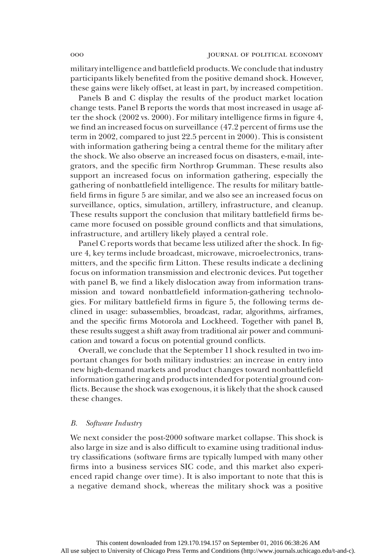military intelligence and battlefield products. We conclude that industry participants likely benefited from the positive demand shock. However, these gains were likely offset, at least in part, by increased competition.

Panels B and C display the results of the product market location change tests. Panel B reports the words that most increased in usage after the shock (2002 vs. 2000). For military intelligence firms in figure 4, we find an increased focus on surveillance (47.2 percent of firms use the term in 2002, compared to just 22.5 percent in 2000). This is consistent with information gathering being a central theme for the military after the shock. We also observe an increased focus on disasters, e-mail, integrators, and the specific firm Northrop Grumman. These results also support an increased focus on information gathering, especially the gathering of nonbattlefield intelligence. The results for military battlefield firms in figure 5 are similar, and we also see an increased focus on surveillance, optics, simulation, artillery, infrastructure, and cleanup. These results support the conclusion that military battlefield firms became more focused on possible ground conflicts and that simulations, infrastructure, and artillery likely played a central role.

Panel C reports words that became less utilized after the shock. In figure 4, key terms include broadcast, microwave, microelectronics, transmitters, and the specific firm Litton. These results indicate a declining focus on information transmission and electronic devices. Put together with panel B, we find a likely dislocation away from information transmission and toward nonbattlefield information-gathering technologies. For military battlefield firms in figure 5, the following terms declined in usage: subassemblies, broadcast, radar, algorithms, airframes, and the specific firms Motorola and Lockheed. Together with panel B, these results suggest a shift away from traditional air power and communication and toward a focus on potential ground conflicts.

Overall, we conclude that the September 11 shock resulted in two important changes for both military industries: an increase in entry into new high-demand markets and product changes toward nonbattlefield information gathering and products intended for potential ground conflicts. Because the shock was exogenous, it is likely that the shock caused these changes.

#### B. Software Industry

We next consider the post-2000 software market collapse. This shock is also large in size and is also difficult to examine using traditional industry classifications (software firms are typically lumped with many other firms into a business services SIC code, and this market also experienced rapid change over time). It is also important to note that this is a negative demand shock, whereas the military shock was a positive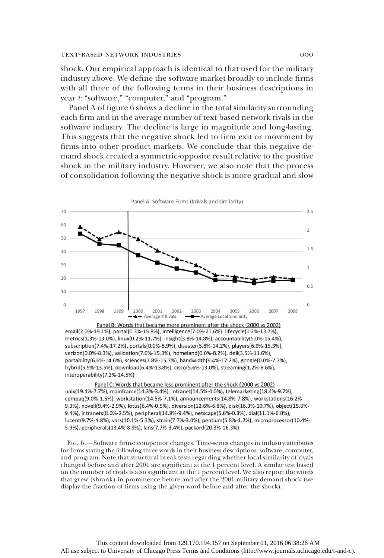shock. Our empirical approach is identical to that used for the military industry above. We define the software market broadly to include firms with all three of the following terms in their business descriptions in year t: "software," "computer," and "program."

Panel A of figure 6 shows a decline in the total similarity surrounding each firm and in the average number of text-based network rivals in the software industry. The decline is large in magnitude and long-lasting. This suggests that the negative shock led to firm exit or movement by firms into other product markets. We conclude that this negative demand shock created a symmetric-opposite result relative to the positive shock in the military industry. However, we also note that the process of consolidation following the negative shock is more gradual and slow



Panel B: Words that became more prominent after the shock (2000 vs 2002) email(2.0%-19.1%), portal(0.3%-15.8%), intelligence(7.0%-21.6%), lifecycle(1.2%-13.7%), metrics(1.3%-13.0%), linux(0.2%-11.7%), insight(3.8%-14.8%), accountability(5.0%-15.4%), subscription(7.4%-17.2%), portals(0.0%-8.9%), disaster(5.8%-14.2%), players(6.9%-15.3%), verizon(0.0%-8.3%), validation(7.0%-15.3%), homeland(0.0%-8.2%), dell(3.5%-11.6%), portability(6.6%-14.6%), sciences(7.8%-15.7%), bandwidth(9.4%-17.2%), google(0.0%-7.7%), hybrid(5.9%-13.5%), download(6.4%-13.8%), cisco(5.6%-13.0%), streaming(1.2%-8.6%), interoperability(7.2%-14.5%)

Panel C: Words that became less prominent after the shock (2000 vs 2002) unix(19.4%-7.7%), mainframe(14.3%-3.4%), intranet(14.5%-4.0%), telemarketing(18.4%-9.7%), compaq(9.0%-1.5%), workstation(14.5%-7.1%), announcements(14.8%-7.8%), workstations(16.2%-9.3%), novell(9.4%-2.9%), lotus(6.4%-0.5%), diversion(12.6%-6.8%), disk(16.3%-10.7%), object(15.0%-9.4%), intranets(8.0%-2.5%), peripheral(14.8%-9.4%), netscape(5.6%-0.3%), dial(11.1%-6.0%), lucent(9.7%-4.8%), vars(10.1%-5.3%), strain(7.7%-3.0%), pentium(5.8%-1.2%), microprocessor(10.4%-5.9%), peripherals(13.4%-8.9%), lans(7.7%-3.4%), packard(20.3%-16.3%)

FIG. 6.—Software firms: competitor changes. Time-series changes in industry attributes for firms stating the following three words in their business descriptions: software, computer, and program. Note that structural break tests regarding whether local similarity of rivals changed before and after 2001 are significant at the 1 percent level. A similar test based on the number of rivals is also significant at the 1 percent level. We also report the words that grew (shrank) in prominence before and after the 2001 military demand shock (we display the fraction of firms using the given word before and after the shock).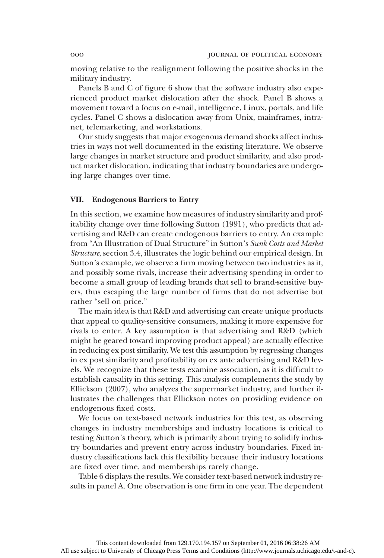moving relative to the realignment following the positive shocks in the military industry.

Panels B and C of figure 6 show that the software industry also experienced product market dislocation after the shock. Panel B shows a movement toward a focus on e-mail, intelligence, Linux, portals, and life cycles. Panel C shows a dislocation away from Unix, mainframes, intranet, telemarketing, and workstations.

Our study suggests that major exogenous demand shocks affect industries in ways not well documented in the existing literature. We observe large changes in market structure and product similarity, and also product market dislocation, indicating that industry boundaries are undergoing large changes over time.

#### VII. Endogenous Barriers to Entry

In this section, we examine how measures of industry similarity and profitability change over time following Sutton (1991), who predicts that advertising and R&D can create endogenous barriers to entry. An example from "An Illustration of Dual Structure" in Sutton's Sunk Costs and Market Structure, section 3.4, illustrates the logic behind our empirical design. In Sutton's example, we observe a firm moving between two industries as it, and possibly some rivals, increase their advertising spending in order to become a small group of leading brands that sell to brand-sensitive buyers, thus escaping the large number of firms that do not advertise but rather "sell on price."

The main idea is that R&D and advertising can create unique products that appeal to quality-sensitive consumers, making it more expensive for rivals to enter. A key assumption is that advertising and R&D (which might be geared toward improving product appeal) are actually effective in reducing ex post similarity. We test this assumption by regressing changes in ex post similarity and profitability on ex ante advertising and R&D levels. We recognize that these tests examine association, as it is difficult to establish causality in this setting. This analysis complements the study by Ellickson (2007), who analyzes the supermarket industry, and further illustrates the challenges that Ellickson notes on providing evidence on endogenous fixed costs.

We focus on text-based network industries for this test, as observing changes in industry memberships and industry locations is critical to testing Sutton's theory, which is primarily about trying to solidify industry boundaries and prevent entry across industry boundaries. Fixed industry classifications lack this flexibility because their industry locations are fixed over time, and memberships rarely change.

Table 6 displays the results. We consider text-based network industry results in panel A. One observation is one firm in one year. The dependent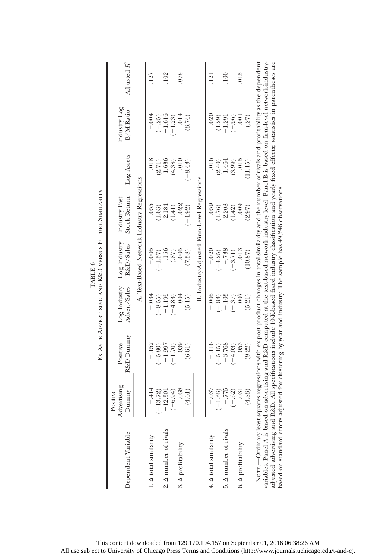|                                                                                                                                                                                                                                                                                                                                                                                                                                                                                                                                                                                             |                                  |                       | Ex ANTE ADVERTISING AND R&D VERSUS FUTURE SIMILARITY | TABLE 6                   |                                             |                 |                           |                  |
|---------------------------------------------------------------------------------------------------------------------------------------------------------------------------------------------------------------------------------------------------------------------------------------------------------------------------------------------------------------------------------------------------------------------------------------------------------------------------------------------------------------------------------------------------------------------------------------------|----------------------------------|-----------------------|------------------------------------------------------|---------------------------|---------------------------------------------|-----------------|---------------------------|------------------|
| Dependent Variable                                                                                                                                                                                                                                                                                                                                                                                                                                                                                                                                                                          | Advertising<br>Dummy<br>Positive | R&D Dummy<br>Positive | Log Industry<br>Adver./Sales                         | Log Industry<br>R&D/Sales | Industry Past<br><b>Stock Return</b>        | Log Assets      | Industry Log<br>B/M Ratio | Adjusted $R^2$   |
|                                                                                                                                                                                                                                                                                                                                                                                                                                                                                                                                                                                             |                                  |                       |                                                      |                           | A. Text-Based Network Industry Regressions  |                 |                           |                  |
| $1. \Delta$ total similarity                                                                                                                                                                                                                                                                                                                                                                                                                                                                                                                                                                | $-414$                           | $-.152$               | $-0.94$                                              | $-0.005$                  | 055                                         | .018            | $-.004$                   | 127              |
| 2. A number of rivals                                                                                                                                                                                                                                                                                                                                                                                                                                                                                                                                                                       | $-13.72$<br>$-12.30$             | $-1.997$<br>$-5.80$   | $-1.195$<br>$-8.55$                                  | .156<br>$(-1.37)$         | 2.184<br>(1.63)                             | 1.636<br>(2.71) | $-1.616$<br>$(-.25)$      | .102             |
|                                                                                                                                                                                                                                                                                                                                                                                                                                                                                                                                                                                             | $(-6.94)$                        | $(-1.70)$             | $(-4.83)$                                            |                           | (1.41)                                      | (4.38)          | $-1.23$                   |                  |
| 3. $\Delta$ profitability                                                                                                                                                                                                                                                                                                                                                                                                                                                                                                                                                                   | .038                             | 0.39                  | .004                                                 | (0.87)                    | $-.022$                                     | $-.010$         | .014                      | 078              |
|                                                                                                                                                                                                                                                                                                                                                                                                                                                                                                                                                                                             | (4.61)                           | (6.61)                | (5.15)                                               | (7.38)                    | $-4.92$                                     | $-8.43$         | (3.74)                    |                  |
|                                                                                                                                                                                                                                                                                                                                                                                                                                                                                                                                                                                             |                                  |                       |                                                      |                           | B. Industry-Adjusted Firm-Level Regressions |                 |                           |                  |
| 4. $\Delta$ total similarity                                                                                                                                                                                                                                                                                                                                                                                                                                                                                                                                                                | $-.037$                          | $-116$                | $-0.005$                                             | $-.020$                   | 059                                         | .016            | .020                      | .121             |
|                                                                                                                                                                                                                                                                                                                                                                                                                                                                                                                                                                                             | $(-1.33)$<br>-.775               | $-5.15$               | $(-.83)$                                             | $(-4.25)$                 | (1.76)                                      | (2.40)          | (1.29)                    |                  |
| 5. A number of rivals                                                                                                                                                                                                                                                                                                                                                                                                                                                                                                                                                                       |                                  | $-3.768$              | $-.103$                                              | $-.738$                   | 2.208                                       | 1.464           | $-1.291$                  | $\overline{100}$ |
|                                                                                                                                                                                                                                                                                                                                                                                                                                                                                                                                                                                             | $(-.62)$                         | $(-4.03)$             | .37)<br>J.                                           | $(-3.71)$                 | (1.42)                                      | (3.99)          | $(-.96)$                  |                  |
| 6. $\Delta$ profitability                                                                                                                                                                                                                                                                                                                                                                                                                                                                                                                                                                   | .031                             | .053                  | 007                                                  | .013                      | $600$ .                                     | .015            | $\overline{0}0$ .         | .015             |
|                                                                                                                                                                                                                                                                                                                                                                                                                                                                                                                                                                                             | (4.83)                           | (9.22)                | (5.21)                                               | (10.87)                   | (2.97)                                      | (11.15)         | (27)                      |                  |
| variables. Panel A is based on advertising and R&D computed at the text-based network industry level. Panel B is based on firm-level network-industry-<br>adjusted advertising and R&D. All specifications include 10-K-based fixed industry classification and yearly fixed effects; Astatistics in parentheses are<br>Nore.—Ordinary least squares regressions with ex post product changes in total similarity and the number of rivals and profitability as the dependent<br>based on standard errors adjusted for clustering by year and industry. The sample has 49,246 observations. |                                  |                       |                                                      |                           |                                             |                 |                           |                  |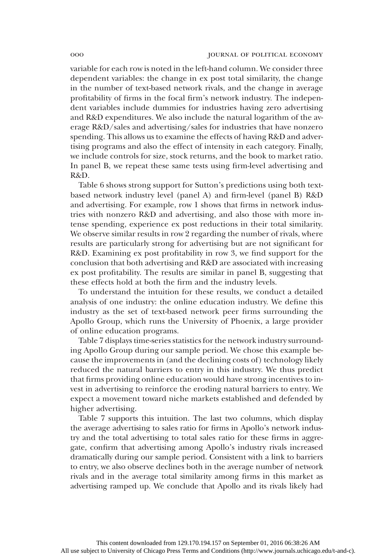variable for each row is noted in the left-hand column. We consider three dependent variables: the change in ex post total similarity, the change in the number of text-based network rivals, and the change in average profitability of firms in the focal firm's network industry. The independent variables include dummies for industries having zero advertising and R&D expenditures. We also include the natural logarithm of the average R&D/sales and advertising/sales for industries that have nonzero spending. This allows us to examine the effects of having R&D and advertising programs and also the effect of intensity in each category. Finally, we include controls for size, stock returns, and the book to market ratio. In panel B, we repeat these same tests using firm-level advertising and R&D.

Table 6 shows strong support for Sutton's predictions using both textbased network industry level (panel A) and firm-level (panel B) R&D and advertising. For example, row 1 shows that firms in network industries with nonzero R&D and advertising, and also those with more intense spending, experience ex post reductions in their total similarity. We observe similar results in row 2 regarding the number of rivals, where results are particularly strong for advertising but are not significant for R&D. Examining ex post profitability in row 3, we find support for the conclusion that both advertising and R&D are associated with increasing ex post profitability. The results are similar in panel B, suggesting that these effects hold at both the firm and the industry levels.

To understand the intuition for these results, we conduct a detailed analysis of one industry: the online education industry. We define this industry as the set of text-based network peer firms surrounding the Apollo Group, which runs the University of Phoenix, a large provider of online education programs.

Table 7 displays time-series statistics for the network industry surrounding Apollo Group during our sample period. We chose this example because the improvements in (and the declining costs of) technology likely reduced the natural barriers to entry in this industry. We thus predict that firms providing online education would have strong incentives to invest in advertising to reinforce the eroding natural barriers to entry. We expect a movement toward niche markets established and defended by higher advertising.

Table 7 supports this intuition. The last two columns, which display the average advertising to sales ratio for firms in Apollo's network industry and the total advertising to total sales ratio for these firms in aggregate, confirm that advertising among Apollo's industry rivals increased dramatically during our sample period. Consistent with a link to barriers to entry, we also observe declines both in the average number of network rivals and in the average total similarity among firms in this market as advertising ramped up. We conclude that Apollo and its rivals likely had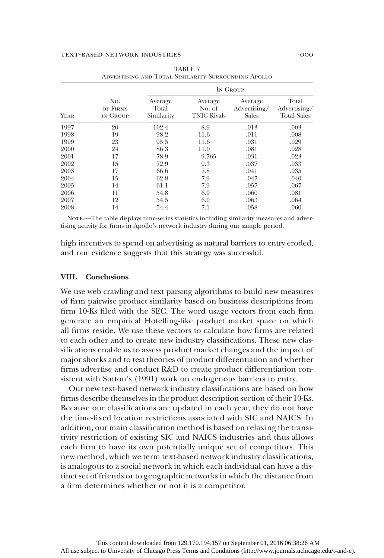|      |                             |                                |                                         | IN GROUP                         |                                             |
|------|-----------------------------|--------------------------------|-----------------------------------------|----------------------------------|---------------------------------------------|
| YEAR | No.<br>OF FIRMS<br>IN GROUP | Average<br>Total<br>Similarity | Average<br>No. of<br><b>TNIC Rivals</b> | Average<br>Advertising/<br>Sales | Total<br>Advertising/<br><b>Total Sales</b> |
| 1997 | 20                          | 102.4                          | 8.9                                     | .013                             | .003                                        |
| 1998 | 19                          | 98.2                           | 11.6                                    | .011                             | .008                                        |
| 1999 | 23                          | 95.5                           | 11.6                                    | .031                             | .029                                        |
| 2000 | 24                          | 86.3                           | 11.0                                    | .081                             | .028                                        |
| 2001 | 17                          | 78.9                           | 9.765                                   | .031                             | .023                                        |
| 2002 | 15                          | 72.9                           | 9.3                                     | .037                             | .033                                        |
| 2003 | 17                          | 66.6                           | 7.8                                     | .041                             | .035                                        |
| 2004 | 15                          | 62.8                           | 7.9                                     | .047                             | .040                                        |
| 2005 | 14                          | 61.1                           | 7.9                                     | .057                             | .067                                        |
| 2006 | 11                          | 54.8                           | 6.0                                     | .060                             | .081                                        |
| 2007 | 12                          | 54.5                           | 6.0                                     | .063                             | .064                                        |
| 2008 | 14                          | 54.4                           | 7.1                                     | .058                             | .060                                        |

|  | TABLE 7 |                                                     |
|--|---------|-----------------------------------------------------|
|  |         | ADVERTISING AND TOTAL SIMILARITY SURROUNDING APOLLO |

NOTE.—The table displays time-series statistics including similarity measures and advertising activity for firms in Apollo's network industry during our sample period.

high incentives to spend on advertising as natural barriers to entry eroded, and our evidence suggests that this strategy was successful.

#### VIII. Conclusions

We use web crawling and text parsing algorithms to build new measures of firm pairwise product similarity based on business descriptions from firm 10-Ks filed with the SEC. The word usage vectors from each firm generate an empirical Hotelling-like product market space on which all firms reside. We use these vectors to calculate how firms are related to each other and to create new industry classifications. These new classifications enable us to assess product market changes and the impact of major shocks and to test theories of product differentiation and whether firms advertise and conduct R&D to create product differentiation consistent with Sutton's (1991) work on endogenous barriers to entry.

Our new text-based network industry classifications are based on how firms describe themselves in the product description section of their 10-Ks. Because our classifications are updated in each year, they do not have the time-fixed location restrictions associated with SIC and NAICS. In addition, our main classification method is based on relaxing the transitivity restriction of existing SIC and NAICS industries and thus allows each firm to have its own potentially unique set of competitors. This new method, which we term text-based network industry classifications, is analogous to a social network in which each individual can have a distinct set of friends or to geographic networks in which the distance from a firm determines whether or not it is a competitor.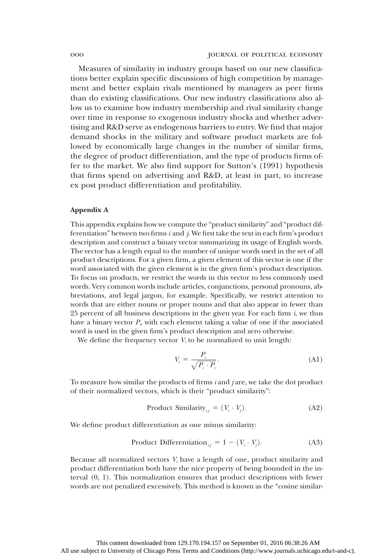Measures of similarity in industry groups based on our new classifications better explain specific discussions of high competition by management and better explain rivals mentioned by managers as peer firms than do existing classifications. Our new industry classifications also allow us to examine how industry membership and rival similarity change over time in response to exogenous industry shocks and whether advertising and R&D serve as endogenous barriers to entry. We find that major demand shocks in the military and software product markets are followed by economically large changes in the number of similar firms, the degree of product differentiation, and the type of products firms offer to the market. We also find support for Sutton's (1991) hypothesis that firms spend on advertising and R&D, at least in part, to increase ex post product differentiation and profitability.

### Appendix A

This appendix explains how we compute the "product similarity" and "product differentiation" between two firms  $i$  and  $j$ . We first take the text in each firm's product description and construct a binary vector summarizing its usage of English words. The vector has a length equal to the number of unique words used in the set of all product descriptions. For a given firm, a given element of this vector is one if the word associated with the given element is in the given firm's product description. To focus on products, we restrict the words in this vector to less commonly used words. Very common words include articles, conjunctions, personal pronouns, abbreviations, and legal jargon, for example. Specifically, we restrict attention to words that are either nouns or proper nouns and that also appear in fewer than 25 percent of all business descriptions in the given year. For each firm  $i$ , we thus have a binary vector  $P_i$ , with each element taking a value of one if the associated word is used in the given firm's product description and zero otherwise.

We define the frequency vector  $V_i$  to be normalized to unit length:

$$
V_i = \frac{P_i}{\sqrt{P_i \cdot P_i}}.\tag{A1}
$$

To measure how similar the products of firms i and j are, we take the dot product of their normalized vectors, which is their "product similarity":

Product Similarity<sub>*ij*</sub> = 
$$
(V_i \cdot V_j)
$$
. (A2)

We define product differentiation as one minus similarity:

Product Differentiation<sub>*i,j*</sub> = 1 - (
$$
V_i \cdot V_j
$$
). (A3)

Because all normalized vectors  $V_i$  have a length of one, product similarity and product differentiation both have the nice property of being bounded in the interval (0, 1). This normalization ensures that product descriptions with fewer words are not penalized excessively. This method is known as the "cosine similar-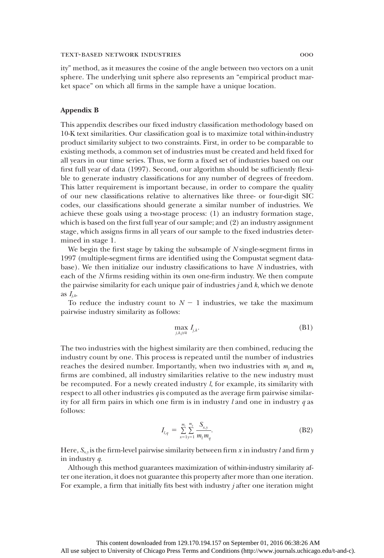ity" method, as it measures the cosine of the angle between two vectors on a unit sphere. The underlying unit sphere also represents an "empirical product market space" on which all firms in the sample have a unique location.

#### Appendix B

This appendix describes our fixed industry classification methodology based on 10-K text similarities. Our classification goal is to maximize total within-industry product similarity subject to two constraints. First, in order to be comparable to existing methods, a common set of industries must be created and held fixed for all years in our time series. Thus, we form a fixed set of industries based on our first full year of data (1997). Second, our algorithm should be sufficiently flexible to generate industry classifications for any number of degrees of freedom. This latter requirement is important because, in order to compare the quality of our new classifications relative to alternatives like three- or four-digit SIC codes, our classifications should generate a similar number of industries. We achieve these goals using a two-stage process: (1) an industry formation stage, which is based on the first full year of our sample; and (2) an industry assignment stage, which assigns firms in all years of our sample to the fixed industries determined in stage 1.

We begin the first stage by taking the subsample of N single-segment firms in 1997 (multiple-segment firms are identified using the Compustat segment database). We then initialize our industry classifications to have N industries, with each of the N firms residing within its own one-firm industry. We then compute the pairwise similarity for each unique pair of industries  $j$  and  $k$ , which we denote as  $I_{ik}$ .

To reduce the industry count to  $N - 1$  industries, we take the maximum pairwise industry similarity as follows:

$$
\max_{j,k,j\neq k} I_{j,k}.\tag{B1}
$$

The two industries with the highest similarity are then combined, reducing the industry count by one. This process is repeated until the number of industries reaches the desired number. Importantly, when two industries with  $m_i$  and  $m_k$ firms are combined, all industry similarities relative to the new industry must be recomputed. For a newly created industry  $l$ , for example, its similarity with respect to all other industries  $q$  is computed as the average firm pairwise similarity for all firm pairs in which one firm is in industry  $l$  and one in industry  $q$  as follows:

$$
I_{l,q} = \sum_{x=1}^{m_l} \sum_{y=1}^{m_q} \frac{S_{x,y}}{m_l m_q}.
$$
 (B2)

Here,  $S_{x,y}$  is the firm-level pairwise similarity between firm x in industry l and firm y in industry q.

Although this method guarantees maximization of within-industry similarity after one iteration, it does not guarantee this property after more than one iteration. For example, a firm that initially fits best with industry  $j$  after one iteration might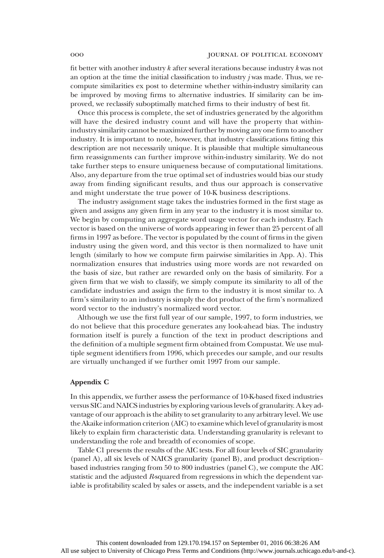fit better with another industry  $k$  after several iterations because industry  $k$  was not an option at the time the initial classification to industry  $j$  was made. Thus, we recompute similarities ex post to determine whether within-industry similarity can be improved by moving firms to alternative industries. If similarity can be improved, we reclassify suboptimally matched firms to their industry of best fit.

Once this process is complete, the set of industries generated by the algorithm will have the desired industry count and will have the property that withinindustry similarity cannot be maximized further by moving any one firm to another industry. It is important to note, however, that industry classifications fitting this description are not necessarily unique. It is plausible that multiple simultaneous firm reassignments can further improve within-industry similarity. We do not take further steps to ensure uniqueness because of computational limitations. Also, any departure from the true optimal set of industries would bias our study away from finding significant results, and thus our approach is conservative and might understate the true power of 10-K business descriptions.

The industry assignment stage takes the industries formed in the first stage as given and assigns any given firm in any year to the industry it is most similar to. We begin by computing an aggregate word usage vector for each industry. Each vector is based on the universe of words appearing in fewer than 25 percent of all firms in 1997 as before. The vector is populated by the count of firms in the given industry using the given word, and this vector is then normalized to have unit length (similarly to how we compute firm pairwise similarities in App. A). This normalization ensures that industries using more words are not rewarded on the basis of size, but rather are rewarded only on the basis of similarity. For a given firm that we wish to classify, we simply compute its similarity to all of the candidate industries and assign the firm to the industry it is most similar to. A firm's similarity to an industry is simply the dot product of the firm's normalized word vector to the industry's normalized word vector.

Although we use the first full year of our sample, 1997, to form industries, we do not believe that this procedure generates any look-ahead bias. The industry formation itself is purely a function of the text in product descriptions and the definition of a multiple segment firm obtained from Compustat. We use multiple segment identifiers from 1996, which precedes our sample, and our results are virtually unchanged if we further omit 1997 from our sample.

#### Appendix C

In this appendix, we further assess the performance of 10-K-based fixed industries versus SIC and NAICS industries by exploring various levels of granularity. A key advantage of our approach is the ability to set granularity to any arbitrary level. We use the Akaike information criterion (AIC) to examine which level of granularity is most likely to explain firm characteristic data. Understanding granularity is relevant to understanding the role and breadth of economies of scope.

Table C1 presents the results of the AIC tests. For all four levels of SIC granularity (panel A), all six levels of NAICS granularity (panel B), and product description– based industries ranging from 50 to 800 industries (panel C), we compute the AIC statistic and the adjusted R-squared from regressions in which the dependent variable is profitability scaled by sales or assets, and the independent variable is a set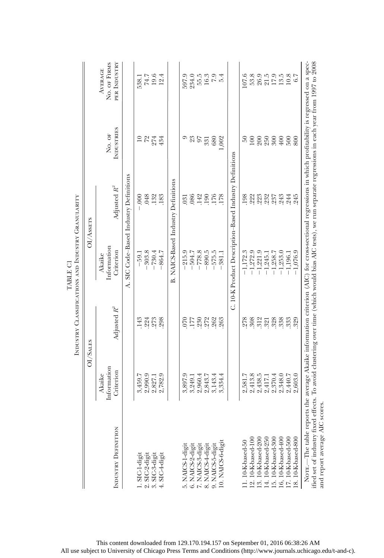|                                                                                                                                                                                                                                                                                                                                                          |                                    |                                           | INDUSTRY CLASSIFICATIONS AND INDUSTRY GRANULARITY |                                                        |                             |                                                |
|----------------------------------------------------------------------------------------------------------------------------------------------------------------------------------------------------------------------------------------------------------------------------------------------------------------------------------------------------------|------------------------------------|-------------------------------------------|---------------------------------------------------|--------------------------------------------------------|-----------------------------|------------------------------------------------|
|                                                                                                                                                                                                                                                                                                                                                          | OI/SALES                           |                                           |                                                   | OI/Assers                                              |                             |                                                |
| INDUSTRY DEFINITION                                                                                                                                                                                                                                                                                                                                      | Information<br>Criterion<br>Akaike | Adjusted $R^2$                            | Information<br>Criterion<br>Akaike                | Adjusted $R^2$                                         | <b>INDUSTRIES</b><br>No. OF | PER INDUSTRY<br>NO. OF FIRMS<br><b>AVERAGE</b> |
|                                                                                                                                                                                                                                                                                                                                                          |                                    |                                           | k,                                                | SIC Code-Based Industry Definitions                    |                             |                                                |
| 1. SIC-1-digit                                                                                                                                                                                                                                                                                                                                           | 3,459.7                            | 143                                       | $-59.1$                                           | 600                                                    | $\overline{10}$             |                                                |
| $2.$ SIC- $2$ -digin                                                                                                                                                                                                                                                                                                                                     | 2,990.9                            |                                           | $-303.8$                                          | .048                                                   | $\frac{72}{274}$            | 538.1<br>74.7                                  |
| 5. SIC-3-digit                                                                                                                                                                                                                                                                                                                                           | 2,827.1                            | $.224$<br>$.273$                          | $-730.4$                                          | $.132$<br>$.183$                                       |                             | 19.6                                           |
| SIC-4-digit                                                                                                                                                                                                                                                                                                                                              | 2,782.9                            | 298                                       | $-864.7$                                          |                                                        | 434                         | 12.4                                           |
|                                                                                                                                                                                                                                                                                                                                                          |                                    |                                           | B.                                                | NAICS-Based Industry Definitions                       |                             |                                                |
| 5. NAICS-1-digi                                                                                                                                                                                                                                                                                                                                          | 3,897.9                            | 070                                       | 215.9                                             | 031                                                    |                             | 597.9                                          |
|                                                                                                                                                                                                                                                                                                                                                          | 3,249.1                            | 177                                       | $-504.7$                                          | .086                                                   |                             | 234.0                                          |
| 6. NAICS-2-digit<br>7. NAICS-3-digit                                                                                                                                                                                                                                                                                                                     | 2,960.4                            | .230                                      | $-778.8$                                          | .142                                                   | 23                          | 55.5                                           |
| 8. NAICS-4-digit                                                                                                                                                                                                                                                                                                                                         | 2,843.7                            |                                           | $-890.5$                                          |                                                        | 331                         |                                                |
| 9. NAICS-5-digit                                                                                                                                                                                                                                                                                                                                         | 3,143.4                            | 272<br>262                                | $-575.5$                                          | 190<br>176                                             | 680                         | $16.3$<br>$7.9$<br>$5.4$                       |
| 10. NAICS-6-digit                                                                                                                                                                                                                                                                                                                                        | 3,334.4                            | 263                                       | 381.1                                             | 178                                                    | ,002                        |                                                |
|                                                                                                                                                                                                                                                                                                                                                          |                                    |                                           |                                                   | C. 10-K Product Description-Based Industry Definitions |                             |                                                |
| 1.10-K-based-50                                                                                                                                                                                                                                                                                                                                          | 2,581.7                            | 278                                       | $-1,172.3$                                        | 198                                                    | $50\,$                      | 107.6                                          |
|                                                                                                                                                                                                                                                                                                                                                          | 2,413.8                            | 308                                       | $-1,272.9$                                        | .222                                                   | 100                         | 53.8                                           |
| 12. 10-K-based-100<br>13. 10-K-based-200                                                                                                                                                                                                                                                                                                                 | 2,438.5                            | $\begin{array}{c} 312 \\ 321 \end{array}$ | $-1,221.9$                                        | 223<br>232                                             | 200                         | 26.9                                           |
| 14. 10-K-based-250 15. 10-K-based-300                                                                                                                                                                                                                                                                                                                    | 2,417.1                            |                                           | 1,245.1<br>ī                                      |                                                        | 250                         | $21.5$                                         |
|                                                                                                                                                                                                                                                                                                                                                          | 2,370.4                            | .328                                      | $-1,258.7$                                        | .237                                                   | 300                         | 17.9<br>13.5                                   |
| 16, 10-K-based-400                                                                                                                                                                                                                                                                                                                                       | 2,348.0                            | 338                                       | $-1,253.0$                                        | .243                                                   | $400$                       |                                                |
| 17. 10-K-based-500                                                                                                                                                                                                                                                                                                                                       | 2,440.7                            | 333                                       | $-1,196.1$                                        | 244                                                    | 500                         | 10.8                                           |
| 18.10-K-based-800                                                                                                                                                                                                                                                                                                                                        | 2,603.0                            | 329                                       | $-1.076.9$                                        | 245                                                    | 800                         | 6.7                                            |
| NOTE.—The table reports the average Akaike information criterion (AIC) for cross-sectional regressions in which profitability is regressed on a spec-<br>ified set of industry fixed effects. To avoid clustering over time (which would bias AIC tests), we run separate regressions in each year from 1997 to 2008<br>scores<br>and report average AIC |                                    |                                           |                                                   |                                                        |                             |                                                |

TABLE CI TABLE C1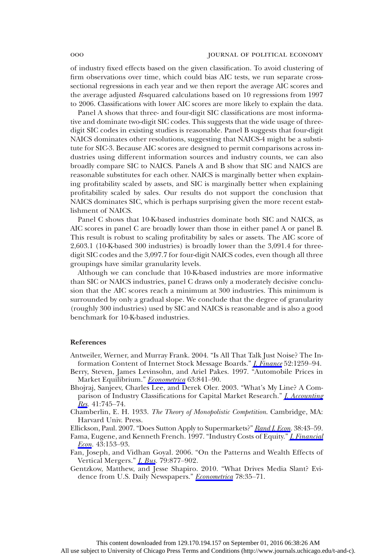of industry fixed effects based on the given classification. To avoid clustering of firm observations over time, which could bias AIC tests, we run separate crosssectional regressions in each year and we then report the average AIC scores and the average adjusted R-squared calculations based on 10 regressions from 1997 to 2006. Classifications with lower AIC scores are more likely to explain the data.

Panel A shows that three- and four-digit SIC classifications are most informative and dominate two-digit SIC codes. This suggests that the wide usage of threedigit SIC codes in existing studies is reasonable. Panel B suggests that four-digit NAICS dominates other resolutions, suggesting that NAICS-4 might be a substitute for SIC-3. Because AIC scores are designed to permit comparisons across industries using different information sources and industry counts, we can also broadly compare SIC to NAICS. Panels A and B show that SIC and NAICS are reasonable substitutes for each other. NAICS is marginally better when explaining profitability scaled by assets, and SIC is marginally better when explaining profitability scaled by sales. Our results do not support the conclusion that NAICS dominates SIC, which is perhaps surprising given the more recent establishment of NAICS.

Panel C shows that 10-K-based industries dominate both SIC and NAICS, as AIC scores in panel C are broadly lower than those in either panel A or panel B. This result is robust to scaling profitability by sales or assets. The AIC score of 2,603.1 (10-K-based 300 industries) is broadly lower than the 3,091.4 for threedigit SIC codes and the 3,097.7 for four-digit NAICS codes, even though all three groupings have similar granularity levels.

Although we can conclude that 10-K-based industries are more informative than SIC or NAICS industries, panel C draws only a moderately decisive conclusion that the AIC scores reach a minimum at 300 industries. This minimum is surrounded by only a gradual slope. We conclude that the degree of granularity (roughly 300 industries) used by SIC and NAICS is reasonable and is also a good benchmark for 10-K-based industries.

#### References

- Antweiler, Werner, and Murray Frank. 2004. "Is All That Talk Just Noise? The Information Content of Internet Stock Message Boards." *[J. Finance](http://www.journals.uchicago.edu/action/showLinks?crossref=10.1111%2Fj.1540-6261.2004.00662.x)* 52:1259–94.
- Berry, Steven, James Levinsohn, and Ariel Pakes. 1997. "Automobile Prices in Market Equilibrium." [Econometrica](http://www.journals.uchicago.edu/action/showLinks?crossref=10.2307%2F2171802) 63:841-90.
- Bhojraj, Sanjeev, Charles Lee, and Derek Oler. 2003. "What's My Line? A Comparison of Industry Classifications for Capital Market Research." *I. Accounting* [Res.](http://www.journals.uchicago.edu/action/showLinks?crossref=10.1046%2Fj.1475-679X.2003.00122.x) 41:745–74.
- Chamberlin, E. H. 1933. The Theory of Monopolistic Competition. Cambridge, MA: Harvard Univ. Press.
- Ellickson, Paul. 2007. "Does Sutton Apply to Supermarkets?" [Rand J. Econ.](http://www.journals.uchicago.edu/action/showLinks?crossref=10.1111%2Fj.1756-2171.2007.tb00043.x) 38:43-59.
- Fama, Eugene, and Kenneth French. 1997. "Industry Costs of Equity." *[J. Financial](http://www.journals.uchicago.edu/action/showLinks?crossref=10.1016%2FS0304-405X%2896%2900896-3)* [Econ](http://www.journals.uchicago.edu/action/showLinks?crossref=10.1016%2FS0304-405X%2896%2900896-3). 43:153-93.
- Fan, Joseph, and Vidhan Goyal. 2006. "On the Patterns and Wealth Effects of Vertical Mergers." [J. Bus.](http://www.journals.uchicago.edu/action/showLinks?crossref=10.1086%2F499141) 79:877–902.
- Gentzkow, Matthew, and Jesse Shapiro. 2010. "What Drives Media Slant? Evi-dence from U.S. Daily Newspapers." [Econometrica](http://www.journals.uchicago.edu/action/showLinks?crossref=10.3982%2FECTA7195) 78:35-71.